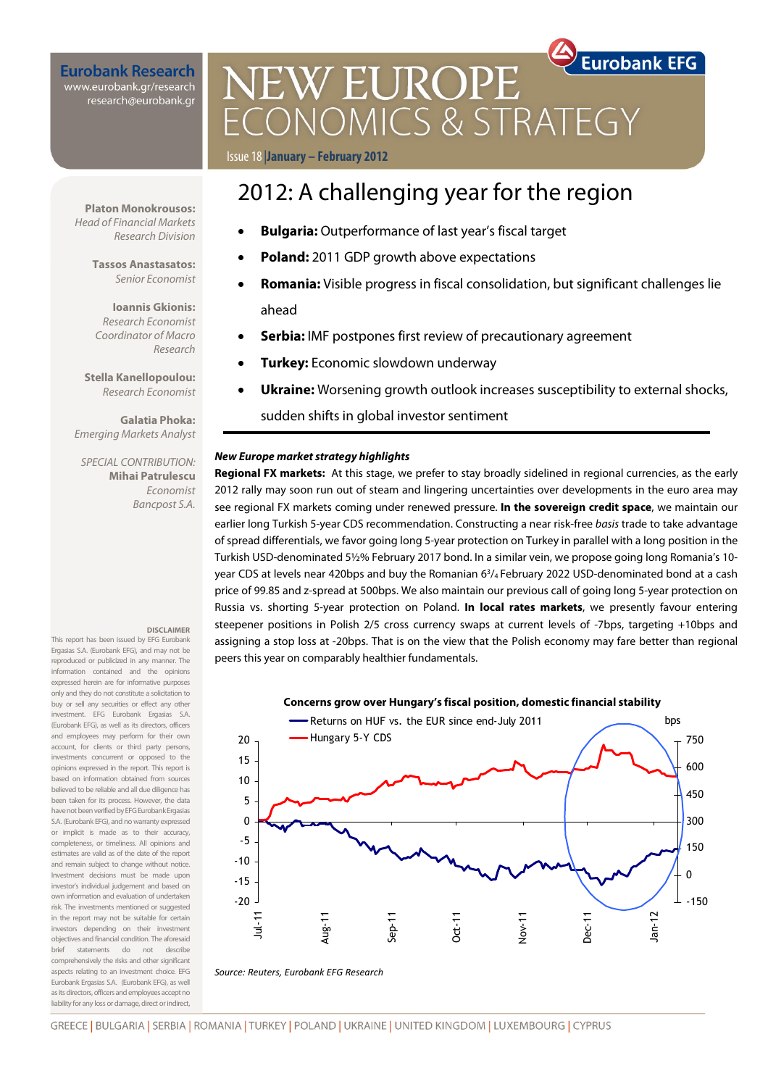### **Eurobank Research** www.eurobank.gr/research research@eurobank.gr

# **Eurobank EFG NEW EUROPE** CONOMICS & STRATEGY

Issue 18 |**January – February 2012**

# 2012: A challenging year for the region

- **Bulgaria:** Outperformance of last year's fiscal target
- **Poland:** 2011 GDP growth above expectations
- **Romania:** Visible progress in fiscal consolidation, but significant challenges lie ahead
- **Serbia:** IMF postpones first review of precautionary agreement
- **Turkey:** Economic slowdown underway
- **Ukraine:** Worsening growth outlook increases susceptibility to external shocks,

sudden shifts in global investor sentiment

#### **New Europe market strategy highlights**

**Regional FX markets:** At this stage, we prefer to stay broadly sidelined in regional currencies, as the early 2012 rally may soon run out of steam and lingering uncertainties over developments in the euro area may see regional FX markets coming under renewed pressure. **In the sovereign credit space**, we maintain our earlier long Turkish 5-year CDS recommendation. Constructing a near risk-free basis trade to take advantage of spread differentials, we favor going long 5-year protection on Turkey in parallel with a long position in the Turkish USD-denominated 5½% February 2017 bond. In a similar vein, we propose going long Romania's 10 year CDS at levels near 420bps and buy the Romanian 6<sup>3</sup>/<sub>4</sub> February 2022 USD-denominated bond at a cash price of 99.85 and z-spread at 500bps. We also maintain our previous call of going long 5-year protection on Russia vs. shorting 5-year protection on Poland. **In local rates markets**, we presently favour entering steepener positions in Polish 2/5 cross currency swaps at current levels of -7bps, targeting +10bps and assigning a stop loss at -20bps. That is on the view that the Polish economy may fare better than regional peers this year on comparably healthier fundamentals.



**Platon Monokrousos:**  Head of Financial Markets Research Division

> **Tassos Anastasatos:**  Senior Economist

**Ioannis Gkionis:**  Research Economist Coordinator of Macro Research

**Stella Kanellopoulou:**  Research Economist

**Galatia Phoka:**  Emerging Markets Analyst

SPECIAL CONTRIBUTION: **Mihai Patrulescu**  Economist Bancpost S.A.

#### **DISCLAIMER**

This report has been issued by EFG Eurobank Ergasias S.A. (Eurobank EFG), and may not be reproduced or publicized in any manner. The information contained and the opinions expressed herein are for informative purposes only and they do not constitute a solicitation to buy or sell any securities or effect any other investment. EFG Eurobank Ergasias S.A. (Eurobank EFG), as well as its directors, officers and employees may perform for their own account, for clients or third party persons, investments concurrent or opposed to the opinions expressed in the report. This report is based on information obtained from sources believed to be reliable and all due diligence has been taken for its process. However, the data have not been verified by EFG Eurobank Ergasias S.A. (Eurobank EFG), and no warranty expressed or implicit is made as to their accuracy, completeness, or timeliness. All opinions and estimates are valid as of the date of the report and remain subject to change without notice. Investment decisions must be made upon investor's individual judgement and based on own information and evaluation of undertaken risk. The investments mentioned or suggested in the report may not be suitable for certain investors depending on their investment objectives and financial condition. The aforesaid brief statements do not describe comprehensively the risks and other significant aspects relating to an investment choice. EFG Eurobank Ergasias S.A. (Eurobank EFG), as well as its directors, officers and employees accept no liability for any loss or damage, direct or indirect,

GREECE | BULGARIA | SERBIA | ROMANIA | TURKEY | POLAND | UKRAINE | UNITED KINGDOM | LUXEMBOURG | CYPRUS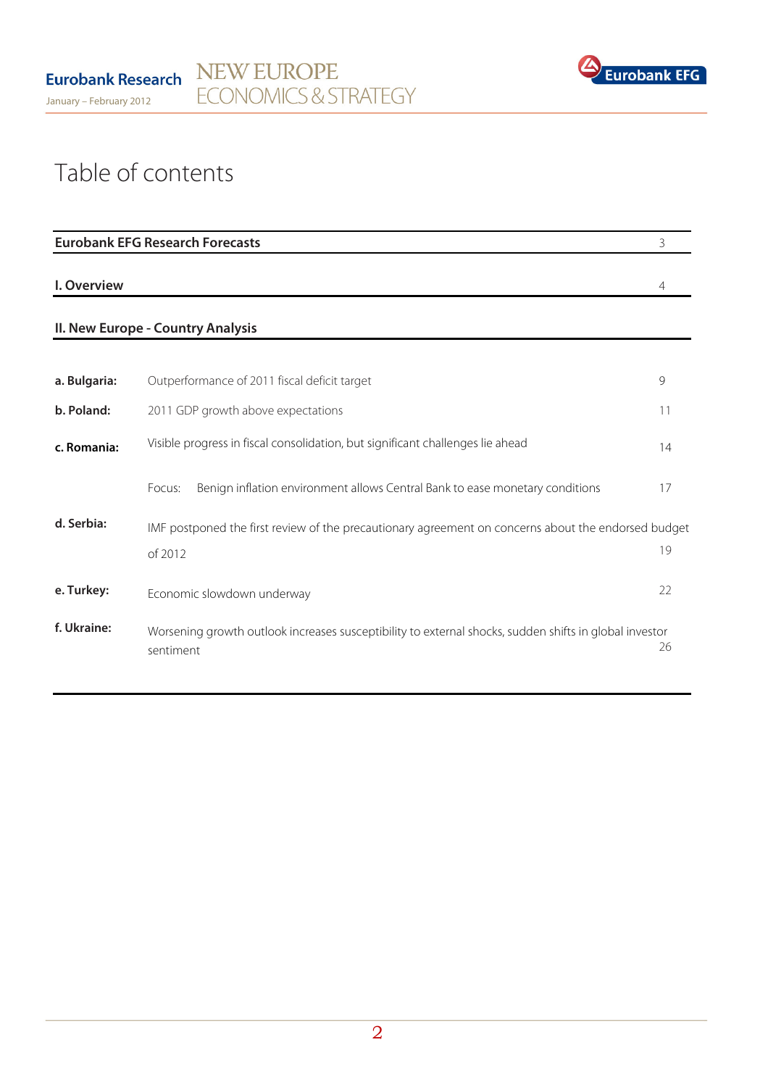

# Table of contents

|              | <b>Eurobank EFG Research Forecasts</b>                                                                              | 3              |
|--------------|---------------------------------------------------------------------------------------------------------------------|----------------|
| I. Overview  |                                                                                                                     | $\overline{4}$ |
|              | II. New Europe - Country Analysis                                                                                   |                |
| a. Bulgaria: | Outperformance of 2011 fiscal deficit target                                                                        | 9              |
| b. Poland:   | 2011 GDP growth above expectations                                                                                  | 11             |
| c. Romania:  | Visible progress in fiscal consolidation, but significant challenges lie ahead                                      | 14             |
|              | Benign inflation environment allows Central Bank to ease monetary conditions<br>Focus:                              | 17             |
| d. Serbia:   | IMF postponed the first review of the precautionary agreement on concerns about the endorsed budget<br>of 2012      | 19             |
| e. Turkey:   | Economic slowdown underway                                                                                          | 22             |
| f. Ukraine:  | Worsening growth outlook increases susceptibility to external shocks, sudden shifts in global investor<br>sentiment | 26             |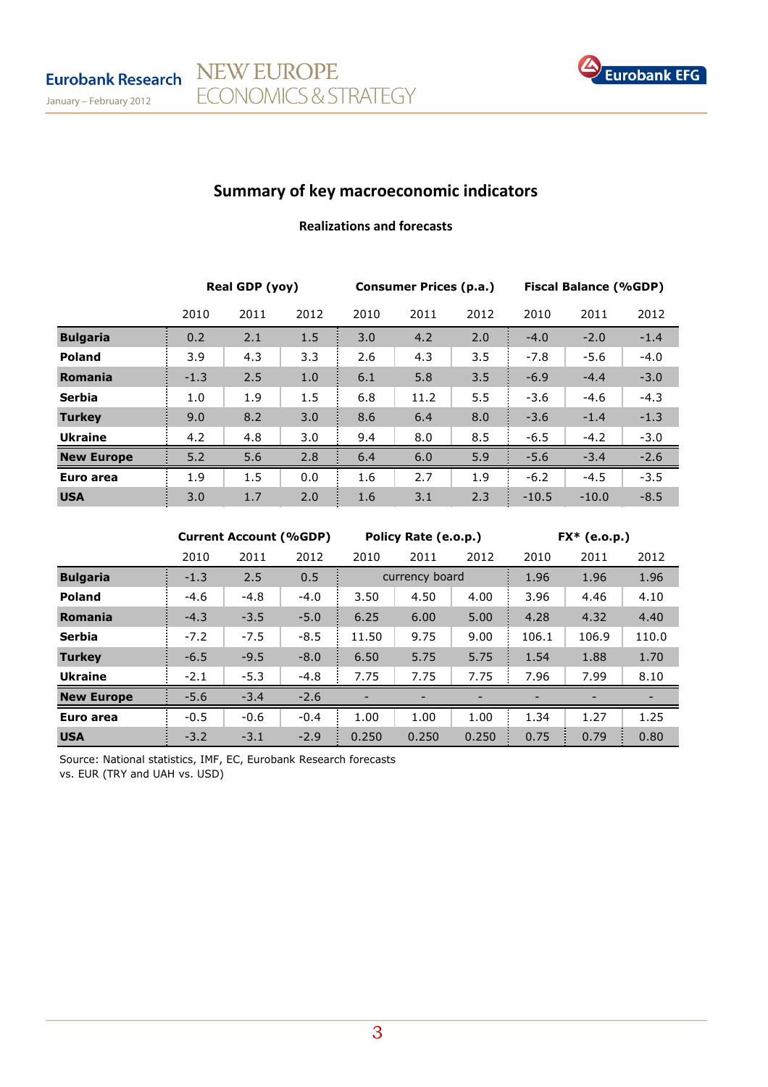January – February 2012



## Summary of key macroeconomic indicators

NEW EUROPE

ECONOMICS & STRATEGY

## Realizations and forecasts

|                   | Real GDP (yoy) |      |      | <b>Consumer Prices (p.a.)</b> |      |      | <b>Fiscal Balance (%GDP)</b> |         |        |
|-------------------|----------------|------|------|-------------------------------|------|------|------------------------------|---------|--------|
|                   | 2010           | 2011 | 2012 | 2010                          | 2011 | 2012 | 2010                         | 2011    | 2012   |
| <b>Bulgaria</b>   | 0.2            | 2.1  | 1.5  | 3.0                           | 4.2  | 2.0  | $-4.0$                       | $-2.0$  | $-1.4$ |
| <b>Poland</b>     | 3.9            | 4.3  | 3.3  | 2.6                           | 4.3  | 3.5  | $-7.8$                       | $-5.6$  | $-4.0$ |
| Romania           | $-1.3$         | 2.5  | 1.0  | 6.1                           | 5.8  | 3.5  | $-6.9$                       | $-4.4$  | $-3.0$ |
| <b>Serbia</b>     | 1.0            | 1.9  | 1.5  | 6.8                           | 11.2 | 5.5  | $-3.6$                       | $-4.6$  | $-4.3$ |
| <b>Turkey</b>     | 9.0            | 8.2  | 3.0  | 8.6                           | 6.4  | 8.0  | $-3.6$                       | $-1.4$  | $-1.3$ |
| <b>Ukraine</b>    | 4.2            | 4.8  | 3.0  | 9.4                           | 8.0  | 8.5  | $-6.5$                       | $-4.2$  | $-3.0$ |
| <b>New Europe</b> | 5.2            | 5.6  | 2.8  | 6.4                           | 6.0  | 5.9  | $-5.6$                       | $-3.4$  | $-2.6$ |
| Euro area         | 1.9            | 1.5  | 0.0  | 1.6                           | 2.7  | 1.9  | $-6.2$                       | $-4.5$  | $-3.5$ |
| <b>USA</b>        | 3.0            | 1.7  | 2.0  | 1.6                           | 3.1  | 2.3  | $-10.5$                      | $-10.0$ | $-8.5$ |

|                   | <b>Current Account (%GDP)</b> |        |        | Policy Rate (e.o.p.) |                |       | $FX*$ (e.o.p.) |       |       |
|-------------------|-------------------------------|--------|--------|----------------------|----------------|-------|----------------|-------|-------|
|                   | 2010                          | 2011   | 2012   | 2010                 | 2011           | 2012  | 2010           | 2011  | 2012  |
| <b>Bulgaria</b>   | $-1.3$                        | 2.5    | 0.5    |                      | currency board |       | 1.96           | 1.96  | 1.96  |
| <b>Poland</b>     | $-4.6$                        | $-4.8$ | $-4.0$ | 3.50                 | 4.50           | 4.00  | 3.96           | 4.46  | 4.10  |
| Romania           | $-4.3$                        | $-3.5$ | $-5.0$ | 6.25                 | 6.00           | 5.00  | 4.28           | 4.32  | 4.40  |
| <b>Serbia</b>     | $-7.2$                        | $-7.5$ | $-8.5$ | 11.50                | 9.75           | 9.00  | 106.1          | 106.9 | 110.0 |
| <b>Turkey</b>     | $-6.5$                        | $-9.5$ | $-8.0$ | 6.50                 | 5.75           | 5.75  | 1.54           | 1.88  | 1.70  |
| <b>Ukraine</b>    | $-2.1$                        | $-5.3$ | $-4.8$ | 7.75                 | 7.75           | 7.75  | 7.96           | 7.99  | 8.10  |
| <b>New Europe</b> | $-5.6$                        | $-3.4$ | $-2.6$ |                      |                |       |                |       |       |
| Euro area         | $-0.5$                        | $-0.6$ | $-0.4$ | 1.00                 | 1.00           | 1.00  | 1.34           | 1.27  | 1.25  |
| <b>USA</b>        | $-3.2$                        | $-3.1$ | $-2.9$ | 0.250                | 0.250          | 0.250 | 0.75           | 0.79  | 0.80  |

Source: National statistics, IMF, EC, Eurobank Research forecasts vs. EUR (TRY and UAH vs. USD)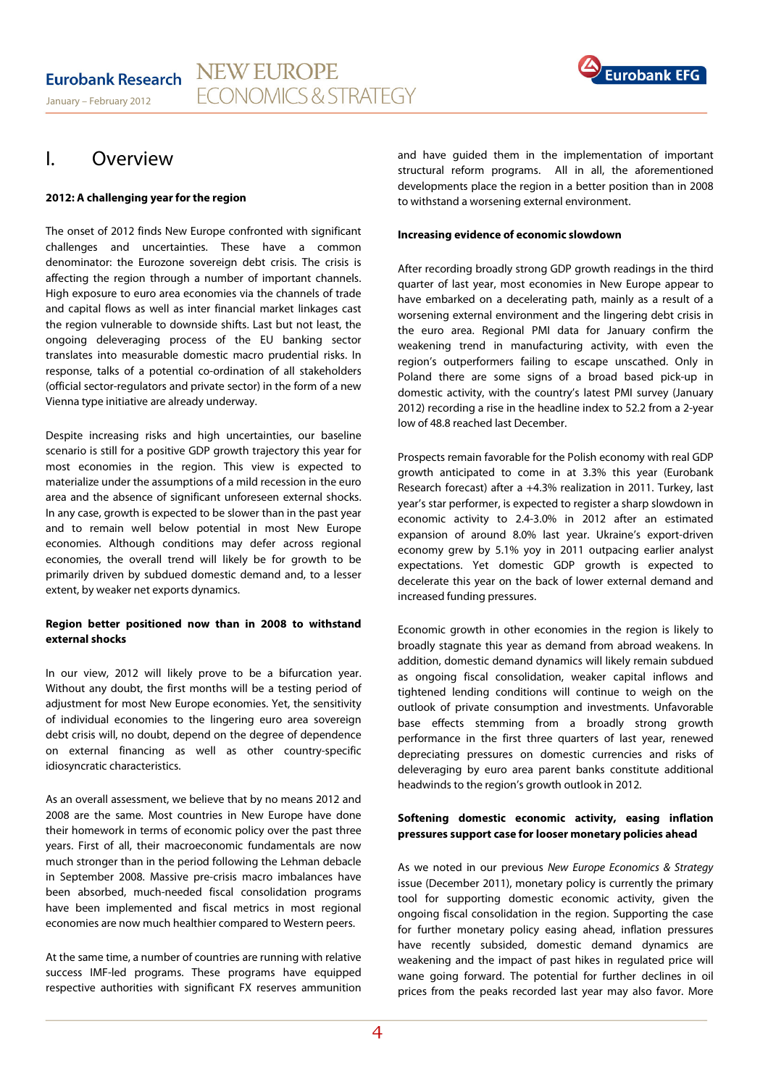

## I. Overview

### **2012: A challenging year for the region**

The onset of 2012 finds New Europe confronted with significant challenges and uncertainties. These have a common denominator: the Eurozone sovereign debt crisis. The crisis is affecting the region through a number of important channels. High exposure to euro area economies via the channels of trade and capital flows as well as inter financial market linkages cast the region vulnerable to downside shifts. Last but not least, the ongoing deleveraging process of the EU banking sector translates into measurable domestic macro prudential risks. In response, talks of a potential co-ordination of all stakeholders (official sector-regulators and private sector) in the form of a new Vienna type initiative are already underway.

Despite increasing risks and high uncertainties, our baseline scenario is still for a positive GDP growth trajectory this year for most economies in the region. This view is expected to materialize under the assumptions of a mild recession in the euro area and the absence of significant unforeseen external shocks. In any case, growth is expected to be slower than in the past year and to remain well below potential in most New Europe economies. Although conditions may defer across regional economies, the overall trend will likely be for growth to be primarily driven by subdued domestic demand and, to a lesser extent, by weaker net exports dynamics.

## **Region better positioned now than in 2008 to withstand external shocks**

In our view, 2012 will likely prove to be a bifurcation year. Without any doubt, the first months will be a testing period of adjustment for most New Europe economies. Yet, the sensitivity of individual economies to the lingering euro area sovereign debt crisis will, no doubt, depend on the degree of dependence on external financing as well as other country-specific idiosyncratic characteristics.

As an overall assessment, we believe that by no means 2012 and 2008 are the same. Most countries in New Europe have done their homework in terms of economic policy over the past three years. First of all, their macroeconomic fundamentals are now much stronger than in the period following the Lehman debacle in September 2008. Massive pre-crisis macro imbalances have been absorbed, much-needed fiscal consolidation programs have been implemented and fiscal metrics in most regional economies are now much healthier compared to Western peers.

At the same time, a number of countries are running with relative success IMF-led programs. These programs have equipped respective authorities with significant FX reserves ammunition

and have guided them in the implementation of important structural reform programs. All in all, the aforementioned developments place the region in a better position than in 2008 to withstand a worsening external environment.

#### **Increasing evidence of economic slowdown**

After recording broadly strong GDP growth readings in the third quarter of last year, most economies in New Europe appear to have embarked on a decelerating path, mainly as a result of a worsening external environment and the lingering debt crisis in the euro area. Regional PMI data for January confirm the weakening trend in manufacturing activity, with even the region's outperformers failing to escape unscathed. Only in Poland there are some signs of a broad based pick-up in domestic activity, with the country's latest PMI survey (January 2012) recording a rise in the headline index to 52.2 from a 2-year low of 48.8 reached last December.

Prospects remain favorable for the Polish economy with real GDP growth anticipated to come in at 3.3% this year (Eurobank Research forecast) after a +4.3% realization in 2011. Turkey, last year's star performer, is expected to register a sharp slowdown in economic activity to 2.4-3.0% in 2012 after an estimated expansion of around 8.0% last year. Ukraine's export-driven economy grew by 5.1% yoy in 2011 outpacing earlier analyst expectations. Yet domestic GDP growth is expected to decelerate this year on the back of lower external demand and increased funding pressures.

Economic growth in other economies in the region is likely to broadly stagnate this year as demand from abroad weakens. In addition, domestic demand dynamics will likely remain subdued as ongoing fiscal consolidation, weaker capital inflows and tightened lending conditions will continue to weigh on the outlook of private consumption and investments. Unfavorable base effects stemming from a broadly strong growth performance in the first three quarters of last year, renewed depreciating pressures on domestic currencies and risks of deleveraging by euro area parent banks constitute additional headwinds to the region's growth outlook in 2012.

## **Softening domestic economic activity, easing inflation pressures support case for looser monetary policies ahead**

As we noted in our previous New Europe Economics & Strategy issue (December 2011), monetary policy is currently the primary tool for supporting domestic economic activity, given the ongoing fiscal consolidation in the region. Supporting the case for further monetary policy easing ahead, inflation pressures have recently subsided, domestic demand dynamics are weakening and the impact of past hikes in regulated price will wane going forward. The potential for further declines in oil prices from the peaks recorded last year may also favor. More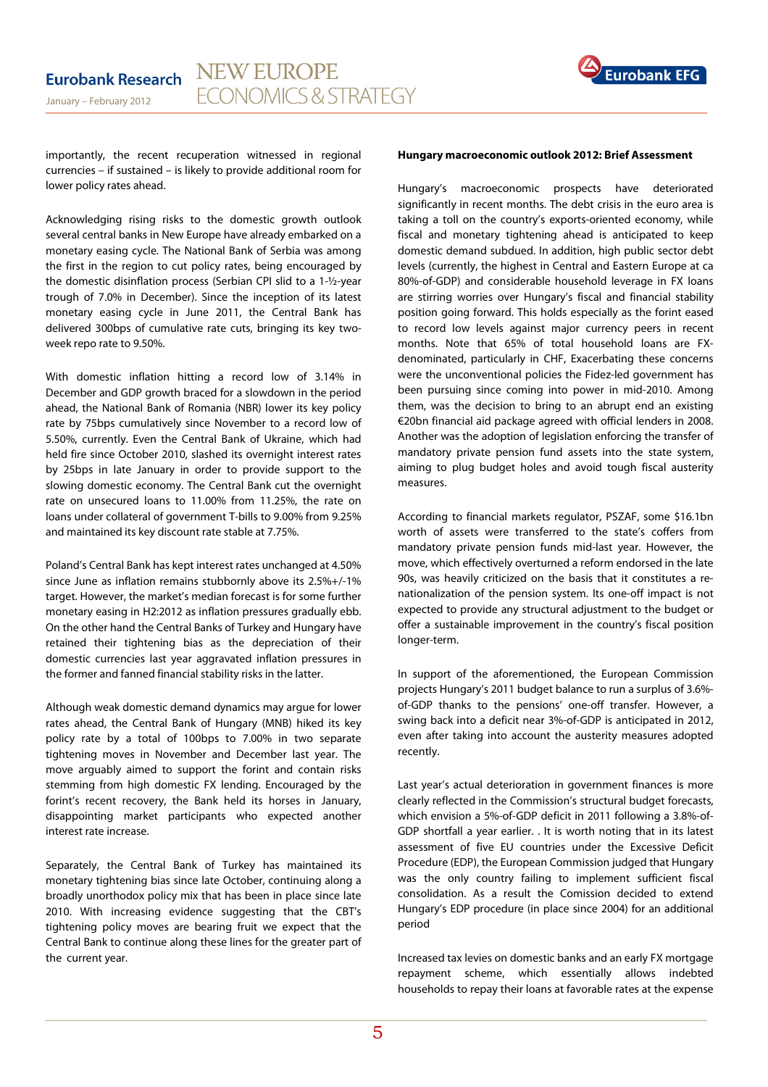

importantly, the recent recuperation witnessed in regional currencies – if sustained – is likely to provide additional room for lower policy rates ahead.

Acknowledging rising risks to the domestic growth outlook several central banks in New Europe have already embarked on a monetary easing cycle. The National Bank of Serbia was among the first in the region to cut policy rates, being encouraged by the domestic disinflation process (Serbian CPI slid to a 1-½-year trough of 7.0% in December). Since the inception of its latest monetary easing cycle in June 2011, the Central Bank has delivered 300bps of cumulative rate cuts, bringing its key twoweek repo rate to 9.50%.

With domestic inflation hitting a record low of 3.14% in December and GDP growth braced for a slowdown in the period ahead, the National Bank of Romania (NBR) lower its key policy rate by 75bps cumulatively since November to a record low of 5.50%, currently. Even the Central Bank of Ukraine, which had held fire since October 2010, slashed its overnight interest rates by 25bps in late January in order to provide support to the slowing domestic economy. The Central Bank cut the overnight rate on unsecured loans to 11.00% from 11.25%, the rate on loans under collateral of government T-bills to 9.00% from 9.25% and maintained its key discount rate stable at 7.75%.

Poland's Central Bank has kept interest rates unchanged at 4.50% since June as inflation remains stubbornly above its 2.5%+/-1% target. However, the market's median forecast is for some further monetary easing in H2:2012 as inflation pressures gradually ebb. On the other hand the Central Banks of Turkey and Hungary have retained their tightening bias as the depreciation of their domestic currencies last year aggravated inflation pressures in the former and fanned financial stability risks in the latter.

Although weak domestic demand dynamics may argue for lower rates ahead, the Central Bank of Hungary (MNB) hiked its key policy rate by a total of 100bps to 7.00% in two separate tightening moves in November and December last year. The move arguably aimed to support the forint and contain risks stemming from high domestic FX lending. Encouraged by the forint's recent recovery, the Bank held its horses in January, disappointing market participants who expected another interest rate increase.

Separately, the Central Bank of Turkey has maintained its monetary tightening bias since late October, continuing along a broadly unorthodox policy mix that has been in place since late 2010. With increasing evidence suggesting that the CBT's tightening policy moves are bearing fruit we expect that the Central Bank to continue along these lines for the greater part of the current year.

#### **Hungary macroeconomic outlook 2012: Brief Assessment**

Hungary's macroeconomic prospects have deteriorated significantly in recent months. The debt crisis in the euro area is taking a toll on the country's exports-oriented economy, while fiscal and monetary tightening ahead is anticipated to keep domestic demand subdued. In addition, high public sector debt levels (currently, the highest in Central and Eastern Europe at ca 80%-of-GDP) and considerable household leverage in FX loans are stirring worries over Hungary's fiscal and financial stability position going forward. This holds especially as the forint eased to record low levels against major currency peers in recent months. Note that 65% of total household loans are FXdenominated, particularly in CHF, Exacerbating these concerns were the unconventional policies the Fidez-led government has been pursuing since coming into power in mid-2010. Among them, was the decision to bring to an abrupt end an existing €20bn financial aid package agreed with official lenders in 2008. Another was the adoption of legislation enforcing the transfer of mandatory private pension fund assets into the state system, aiming to plug budget holes and avoid tough fiscal austerity measures.

According to financial markets regulator, PSZAF, some \$16.1bn worth of assets were transferred to the state's coffers from mandatory private pension funds mid-last year. However, the move, which effectively overturned a reform endorsed in the late 90s, was heavily criticized on the basis that it constitutes a renationalization of the pension system. Its one-off impact is not expected to provide any structural adjustment to the budget or offer a sustainable improvement in the country's fiscal position longer-term.

In support of the aforementioned, the European Commission projects Hungary's 2011 budget balance to run a surplus of 3.6% of-GDP thanks to the pensions' one-off transfer. However, a swing back into a deficit near 3%-of-GDP is anticipated in 2012, even after taking into account the austerity measures adopted recently.

Last year's actual deterioration in government finances is more clearly reflected in the Commission's structural budget forecasts, which envision a 5%-of-GDP deficit in 2011 following a 3.8%-of-GDP shortfall a year earlier. . It is worth noting that in its latest assessment of five EU countries under the Excessive Deficit Procedure (EDP), the European Commission judged that Hungary was the only country failing to implement sufficient fiscal consolidation. As a result the Comission decided to extend Hungary's EDP procedure (in place since 2004) for an additional period

Increased tax levies on domestic banks and an early FX mortgage repayment scheme, which essentially allows indebted households to repay their loans at favorable rates at the expense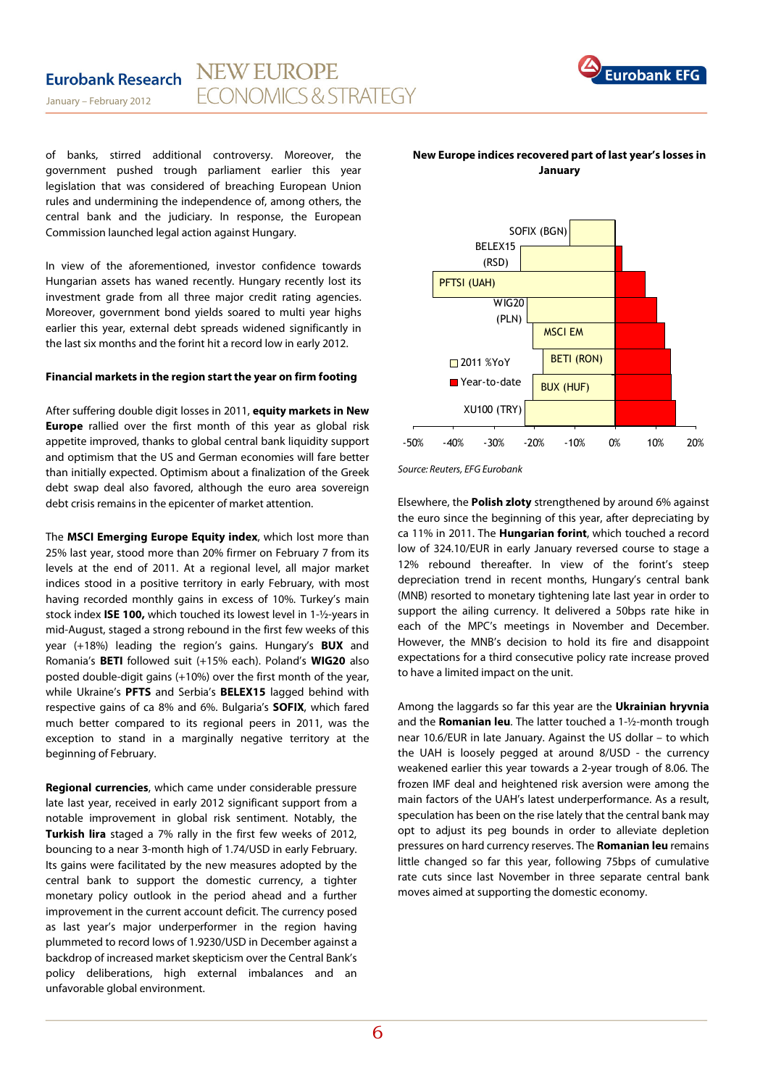

of banks, stirred additional controversy. Moreover, the government pushed trough parliament earlier this year legislation that was considered of breaching European Union rules and undermining the independence of, among others, the central bank and the judiciary. In response, the European Commission launched legal action against Hungary.

In view of the aforementioned, investor confidence towards Hungarian assets has waned recently. Hungary recently lost its investment grade from all three major credit rating agencies. Moreover, government bond yields soared to multi year highs earlier this year, external debt spreads widened significantly in the last six months and the forint hit a record low in early 2012.

### **Financial markets in the region start the year on firm footing**

After suffering double digit losses in 2011, **equity markets in New Europe** rallied over the first month of this year as global risk appetite improved, thanks to global central bank liquidity support and optimism that the US and German economies will fare better than initially expected. Optimism about a finalization of the Greek debt swap deal also favored, although the euro area sovereign debt crisis remains in the epicenter of market attention.

The **MSCI Emerging Europe Equity index**, which lost more than 25% last year, stood more than 20% firmer on February 7 from its levels at the end of 2011. At a regional level, all major market indices stood in a positive territory in early February, with most having recorded monthly gains in excess of 10%. Turkey's main stock index **ISE 100,** which touched its lowest level in 1-½-years in mid-August, staged a strong rebound in the first few weeks of this year (+18%) leading the region's gains. Hungary's **BUX** and Romania's **BETI** followed suit (+15% each). Poland's **WIG20** also posted double-digit gains (+10%) over the first month of the year, while Ukraine's **PFTS** and Serbia's **BELEX15** lagged behind with respective gains of ca 8% and 6%. Bulgaria's **SOFIX**, which fared much better compared to its regional peers in 2011, was the exception to stand in a marginally negative territory at the beginning of February.

**Regional currencies**, which came under considerable pressure late last year, received in early 2012 significant support from a notable improvement in global risk sentiment. Notably, the **Turkish lira** staged a 7% rally in the first few weeks of 2012, bouncing to a near 3-month high of 1.74/USD in early February. Its gains were facilitated by the new measures adopted by the central bank to support the domestic currency, a tighter monetary policy outlook in the period ahead and a further improvement in the current account deficit. The currency posed as last year's major underperformer in the region having plummeted to record lows of 1.9230/USD in December against a backdrop of increased market skepticism over the Central Bank's policy deliberations, high external imbalances and an unfavorable global environment.



### **New Europe indices recovered part of last year's losses in January**

Source: Reuters, EFG Eurobank

Elsewhere, the **Polish zloty** strengthened by around 6% against the euro since the beginning of this year, after depreciating by ca 11% in 2011. The **Hungarian forint**, which touched a record low of 324.10/EUR in early January reversed course to stage a 12% rebound thereafter. In view of the forint's steep depreciation trend in recent months, Hungary's central bank (MNB) resorted to monetary tightening late last year in order to support the ailing currency. It delivered a 50bps rate hike in each of the MPC's meetings in November and December. However, the MNB's decision to hold its fire and disappoint expectations for a third consecutive policy rate increase proved to have a limited impact on the unit.

Among the laggards so far this year are the **Ukrainian hryvnia**  and the **Romanian leu**. The latter touched a 1-½-month trough near 10.6/EUR in late January. Against the US dollar – to which the UAH is loosely pegged at around 8/USD - the currency weakened earlier this year towards a 2-year trough of 8.06. The frozen IMF deal and heightened risk aversion were among the main factors of the UAH's latest underperformance. As a result, speculation has been on the rise lately that the central bank may opt to adjust its peg bounds in order to alleviate depletion pressures on hard currency reserves. The **Romanian leu** remains little changed so far this year, following 75bps of cumulative rate cuts since last November in three separate central bank moves aimed at supporting the domestic economy.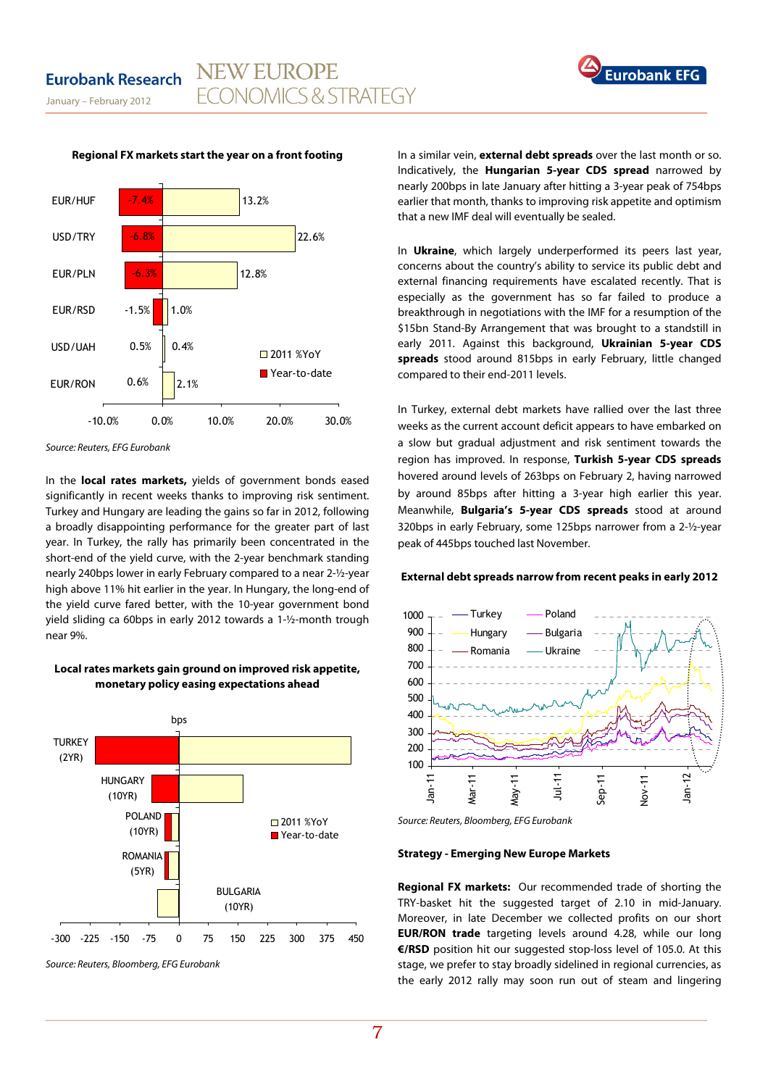January – February 2012



#### **Regional FX markets start the year on a front footing**

**NEW EUROPE** 

**FCONOMICS & STRATEGY** 

Source: Reuters, EFG Eurobank

In the **local rates markets,** yields of government bonds eased significantly in recent weeks thanks to improving risk sentiment. Turkey and Hungary are leading the gains so far in 2012, following a broadly disappointing performance for the greater part of last year. In Turkey, the rally has primarily been concentrated in the short-end of the yield curve, with the 2-year benchmark standing nearly 240bps lower in early February compared to a near 2-½-year high above 11% hit earlier in the year. In Hungary, the long-end of the yield curve fared better, with the 10-year government bond yield sliding ca 60bps in early 2012 towards a 1-½-month trough near 9%.

## **Local rates markets gain ground on improved risk appetite, monetary policy easing expectations ahead**



Source: Reuters, Bloomberg, EFG Eurobank

In a similar vein, **external debt spreads** over the last month or so. Indicatively, the **Hungarian 5-year CDS spread** narrowed by nearly 200bps in late January after hitting a 3-year peak of 754bps earlier that month, thanks to improving risk appetite and optimism that a new IMF deal will eventually be sealed.

**Eurobank** 

In **Ukraine**, which largely underperformed its peers last year, concerns about the country's ability to service its public debt and external financing requirements have escalated recently. That is especially as the government has so far failed to produce a breakthrough in negotiations with the IMF for a resumption of the \$15bn Stand-By Arrangement that was brought to a standstill in early 2011. Against this background, **Ukrainian 5-year CDS spreads** stood around 815bps in early February, little changed compared to their end-2011 levels.

In Turkey, external debt markets have rallied over the last three weeks as the current account deficit appears to have embarked on a slow but gradual adjustment and risk sentiment towards the region has improved. In response, **Turkish 5-year CDS spreads** hovered around levels of 263bps on February 2, having narrowed by around 85bps after hitting a 3-year high earlier this year. Meanwhile, **Bulgaria's 5-year CDS spreads** stood at around 320bps in early February, some 125bps narrower from a 2-½-year peak of 445bps touched last November.

#### **External debt spreads narrow from recent peaks in early 2012**



Source: Reuters, Bloomberg, EFG Eurobank

#### **Strategy - Emerging New Europe Markets**

**Regional FX markets:** Our recommended trade of shorting the TRY-basket hit the suggested target of 2.10 in mid-January. Moreover, in late December we collected profits on our short **EUR/RON trade** targeting levels around 4.28, while our long **€/RSD** position hit our suggested stop-loss level of 105.0. At this stage, we prefer to stay broadly sidelined in regional currencies, as the early 2012 rally may soon run out of steam and lingering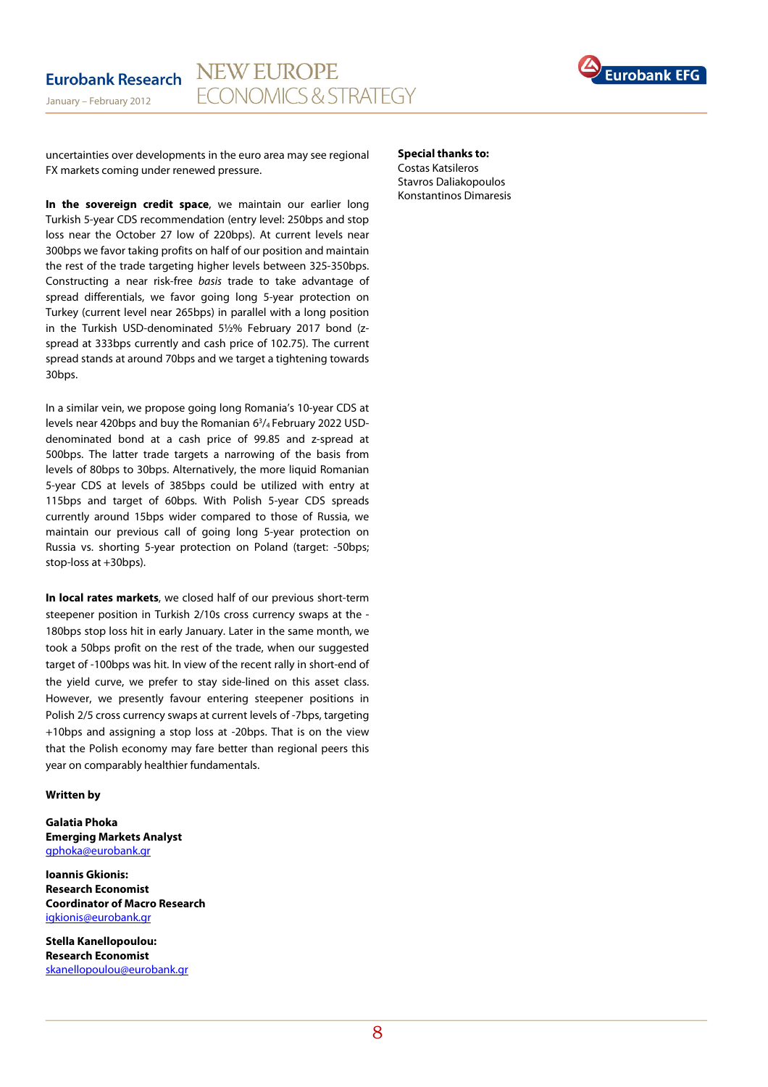

uncertainties over developments in the euro area may see regional FX markets coming under renewed pressure.

**In the sovereign credit space**, we maintain our earlier long Turkish 5-year CDS recommendation (entry level: 250bps and stop loss near the October 27 low of 220bps). At current levels near 300bps we favor taking profits on half of our position and maintain the rest of the trade targeting higher levels between 325-350bps. Constructing a near risk-free basis trade to take advantage of spread differentials, we favor going long 5-year protection on Turkey (current level near 265bps) in parallel with a long position in the Turkish USD-denominated 5½% February 2017 bond (zspread at 333bps currently and cash price of 102.75). The current spread stands at around 70bps and we target a tightening towards 30bps.

In a similar vein, we propose going long Romania's 10-year CDS at levels near 420bps and buy the Romanian 6<sup>3</sup>/<sub>4</sub> February 2022 USDdenominated bond at a cash price of 99.85 and z-spread at 500bps. The latter trade targets a narrowing of the basis from levels of 80bps to 30bps. Alternatively, the more liquid Romanian 5-year CDS at levels of 385bps could be utilized with entry at 115bps and target of 60bps. With Polish 5-year CDS spreads currently around 15bps wider compared to those of Russia, we maintain our previous call of going long 5-year protection on Russia vs. shorting 5-year protection on Poland (target: -50bps; stop-loss at +30bps).

**In local rates markets**, we closed half of our previous short-term steepener position in Turkish 2/10s cross currency swaps at the - 180bps stop loss hit in early January. Later in the same month, we took a 50bps profit on the rest of the trade, when our suggested target of -100bps was hit. In view of the recent rally in short-end of the yield curve, we prefer to stay side-lined on this asset class. However, we presently favour entering steepener positions in Polish 2/5 cross currency swaps at current levels of -7bps, targeting +10bps and assigning a stop loss at -20bps. That is on the view that the Polish economy may fare better than regional peers this year on comparably healthier fundamentals.

#### **Written by**

**Galatia Phoka Emerging Markets Analyst**  gphoka@eurobank.gr

**Ioannis Gkionis: Research Economist Coordinator of Macro Research**  igkionis@eurobank.gr

**Stella Kanellopoulou: Research Economist**  skanellopoulou@eurobank.gr **Special thanks to:**  Costas Katsileros Stavros Daliakopoulos Konstantinos Dimaresis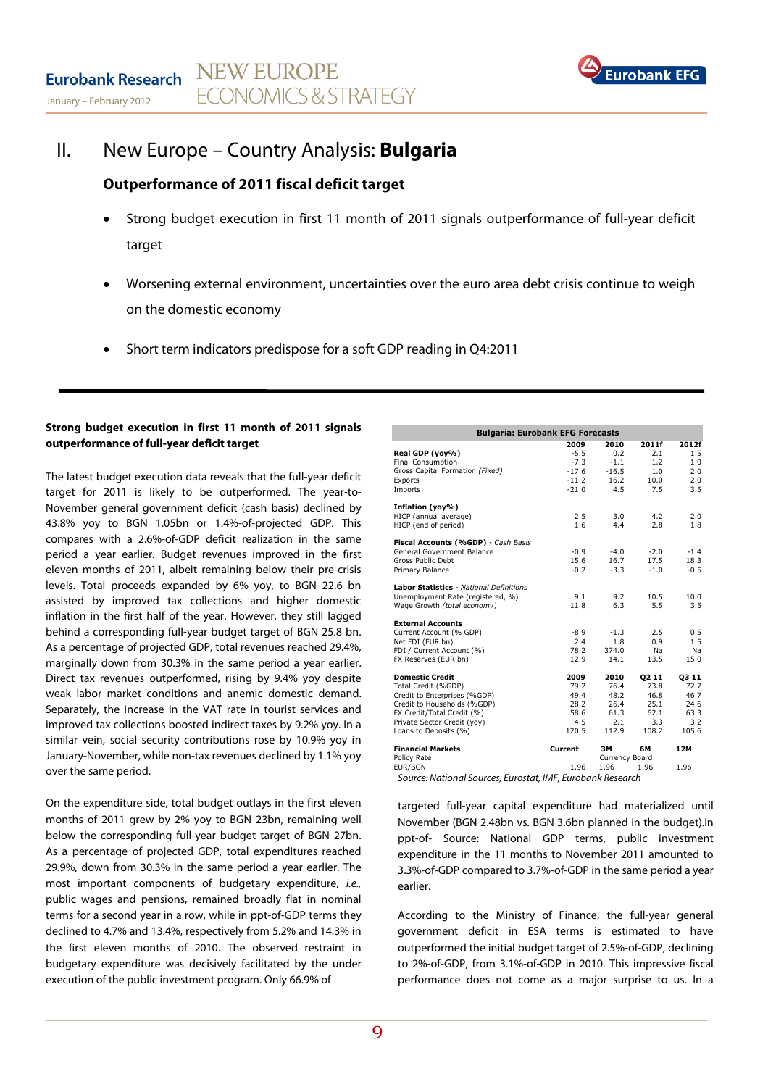

## II. New Europe – Country Analysis: **Bulgaria**

## **Outperformance of 2011 fiscal deficit target**

- Strong budget execution in first 11 month of 2011 signals outperformance of full-year deficit target
- Worsening external environment, uncertainties over the euro area debt crisis continue to weigh on the domestic economy
- Short term indicators predispose for a soft GDP reading in Q4:2011

## **Strong budget execution in first 11 month of 2011 signals outperformance of full-year deficit target**

The latest budget execution data reveals that the full-year deficit target for 2011 is likely to be outperformed. The year-to-November general government deficit (cash basis) declined by 43.8% yoy to BGN 1.05bn or 1.4%-of-projected GDP. This compares with a 2.6%-of-GDP deficit realization in the same period a year earlier. Budget revenues improved in the first eleven months of 2011, albeit remaining below their pre-crisis levels. Total proceeds expanded by 6% yoy, to BGN 22.6 bn assisted by improved tax collections and higher domestic inflation in the first half of the year. However, they still lagged behind a corresponding full-year budget target of BGN 25.8 bn. As a percentage of projected GDP, total revenues reached 29.4%, marginally down from 30.3% in the same period a year earlier. Direct tax revenues outperformed, rising by 9.4% yoy despite weak labor market conditions and anemic domestic demand. Separately, the increase in the VAT rate in tourist services and improved tax collections boosted indirect taxes by 9.2% yoy. In a similar vein, social security contributions rose by 10.9% yoy in January-November, while non-tax revenues declined by 1.1% yoy over the same period.

On the expenditure side, total budget outlays in the first eleven months of 2011 grew by 2% yoy to BGN 23bn, remaining well below the corresponding full-year budget target of BGN 27bn. As a percentage of projected GDP, total expenditures reached 29.9%, down from 30.3% in the same period a year earlier. The most important components of budgetary expenditure, i.e., public wages and pensions, remained broadly flat in nominal terms for a second year in a row, while in ppt-of-GDP terms they declined to 4.7% and 13.4%, respectively from 5.2% and 14.3% in the first eleven months of 2010. The observed restraint in budgetary expenditure was decisively facilitated by the under execution of the public investment program. Only 66.9% of

| <b>Bulgaria: Eurobank EFG Forecasts</b>                 |         |                |        |        |  |  |  |  |
|---------------------------------------------------------|---------|----------------|--------|--------|--|--|--|--|
|                                                         | 2009    | 2010           | 2011f  | 2012f  |  |  |  |  |
| Real GDP (yoy%)                                         | $-5.5$  | 0.2            | 2.1    | 1.5    |  |  |  |  |
| Final Consumption                                       | $-7.3$  | $-1.1$         | 1.2    | 1.0    |  |  |  |  |
| Gross Capital Formation (Fixed)                         | $-17.6$ | $-16.5$        | 1.0    | 2.0    |  |  |  |  |
| Exports                                                 | $-11.2$ | 16.2           | 10.0   | 2.0    |  |  |  |  |
| Imports                                                 | $-21.0$ | 4.5            | 7.5    | 3.5    |  |  |  |  |
| Inflation (yoy%)                                        |         |                |        |        |  |  |  |  |
| HICP (annual average)                                   | 2.5     | 3.0            | 4.2    | 2.0    |  |  |  |  |
| HICP (end of period)                                    | 1.6     | 4.4            | 2.8    | 1.8    |  |  |  |  |
| Fiscal Accounts (%GDP) - Cash Basis                     |         |                |        |        |  |  |  |  |
| General Government Balance                              | $-0.9$  | $-4.0$         | $-2.0$ | $-1.4$ |  |  |  |  |
| Gross Public Debt                                       | 15.6    | 16.7           | 17.5   | 18.3   |  |  |  |  |
| Primary Balance                                         | $-0.2$  | $-3.3$         | $-1.0$ | $-0.5$ |  |  |  |  |
| Labor Statistics - National Definitions                 |         |                |        |        |  |  |  |  |
| Unemployment Rate (registered, %)                       | 9.1     | 9.2            | 10.5   | 10.0   |  |  |  |  |
| Wage Growth (total economy)                             | 11.8    | 6.3            | 5.5    | 3.5    |  |  |  |  |
| <b>External Accounts</b>                                |         |                |        |        |  |  |  |  |
| Current Account (% GDP)                                 | $-8.9$  | $-1.3$         | 2.5    | 0.5    |  |  |  |  |
| Net FDI (EUR bn)                                        | 2.4     | 1.8            | 0.9    | 1.5    |  |  |  |  |
| FDI / Current Account (%)                               | 78.2    | 374.0          | Na     | Na     |  |  |  |  |
| FX Reserves (EUR bn)                                    | 12.9    | 14.1           | 13.5   | 15.0   |  |  |  |  |
| <b>Domestic Credit</b>                                  | 2009    | 2010           | 02 11  | 03 11  |  |  |  |  |
| Total Credit (%GDP)                                     | 79.2    | 76.4           | 73.8   | 72.7   |  |  |  |  |
| Credit to Enterprises (%GDP)                            | 49.4    | 48.2           | 46.8   | 46.7   |  |  |  |  |
| Credit to Households (%GDP)                             | 28.2    | 26.4           | 25.1   | 24.6   |  |  |  |  |
| FX Credit/Total Credit (%)                              | 58.6    | 61.3           | 62.1   | 63.3   |  |  |  |  |
| Private Sector Credit (yoy)                             | 4.5     | 2.1            | 3.3    | 3.2    |  |  |  |  |
| Loans to Deposits (%)                                   | 120.5   | 112.9          | 108.2  | 105.6  |  |  |  |  |
| <b>Financial Markets</b>                                | Current | ЗΜ             | 6M     | 12M    |  |  |  |  |
| Policy Rate                                             |         | Currency Board |        |        |  |  |  |  |
| EUR/BGN                                                 | 1.96    | 1.96           | 1.96   | 1.96   |  |  |  |  |
| Course: National Courses Fugestat IMF Fugebork Bosseugh |         |                |        |        |  |  |  |  |

Source: National Sources, Eurostat, IMF, Eurobank Research

targeted full-year capital expenditure had materialized until November (BGN 2.48bn vs. BGN 3.6bn planned in the budget).In ppt-of- Source: National GDP terms, public investment expenditure in the 11 months to November 2011 amounted to 3.3%-of-GDP compared to 3.7%-of-GDP in the same period a year earlier.

According to the Ministry of Finance, the full-year general government deficit in ESA terms is estimated to have outperformed the initial budget target of 2.5%-of-GDP, declining to 2%-of-GDP, from 3.1%-of-GDP in 2010. This impressive fiscal performance does not come as a major surprise to us. In a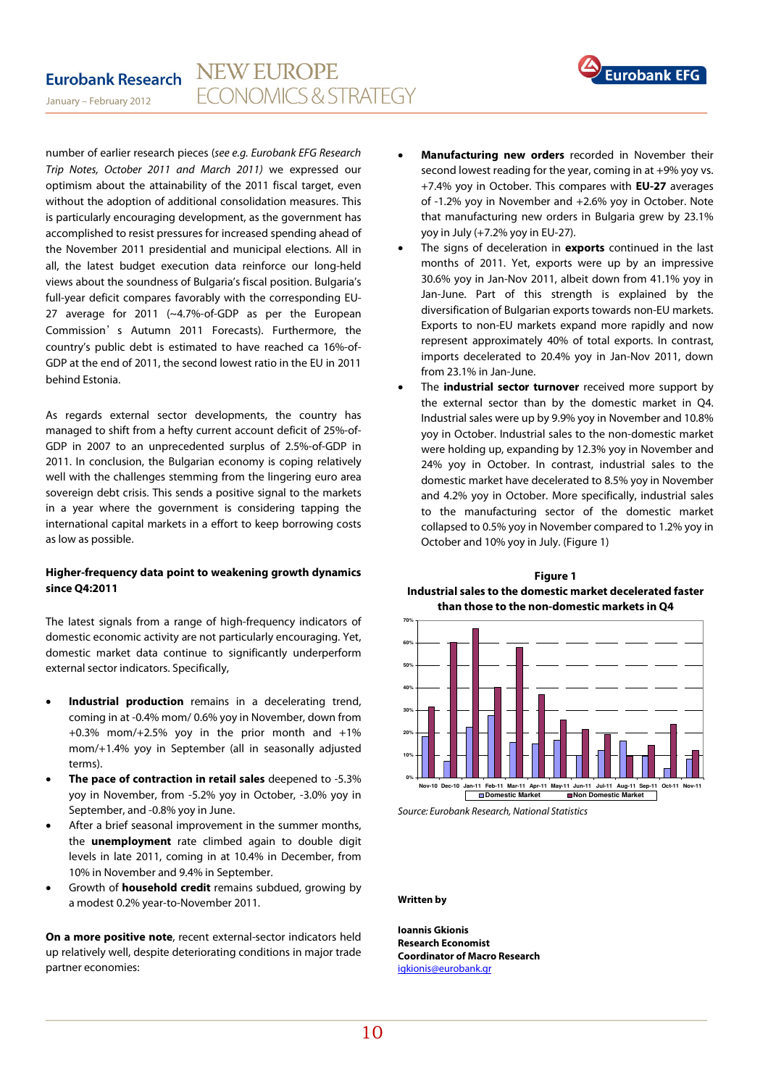#### **NEW EUROPE Eurobank Research FCONOMICS & STRATEGY**



January – February 2012

number of earlier research pieces (see e.g. Eurobank EFG Research Trip Notes, October 2011 and March 2011) we expressed our optimism about the attainability of the 2011 fiscal target, even without the adoption of additional consolidation measures. This is particularly encouraging development, as the government has accomplished to resist pressures for increased spending ahead of the November 2011 presidential and municipal elections. All in all, the latest budget execution data reinforce our long-held views about the soundness of Bulgaria's fiscal position. Bulgaria's full-year deficit compares favorably with the corresponding EU-27 average for 2011 (~4.7%-of-GDP as per the European Commission's Autumn 2011 Forecasts). Furthermore, the country's public debt is estimated to have reached ca 16%-of-GDP at the end of 2011, the second lowest ratio in the EU in 2011 behind Estonia.

As regards external sector developments, the country has managed to shift from a hefty current account deficit of 25%-of-GDP in 2007 to an unprecedented surplus of 2.5%-of-GDP in 2011. In conclusion, the Bulgarian economy is coping relatively well with the challenges stemming from the lingering euro area sovereign debt crisis. This sends a positive signal to the markets in a year where the government is considering tapping the international capital markets in a effort to keep borrowing costs as low as possible.

## **Higher-frequency data point to weakening growth dynamics since Q4:2011**

The latest signals from a range of high-frequency indicators of domestic economic activity are not particularly encouraging. Yet, domestic market data continue to significantly underperform external sector indicators. Specifically,

- **Industrial production** remains in a decelerating trend, coming in at -0.4% mom/ 0.6% yoy in November, down from  $+0.3\%$  mom/ $+2.5\%$  yoy in the prior month and  $+1\%$ mom/+1.4% yoy in September (all in seasonally adjusted terms).
- **The pace of contraction in retail sales** deepened to -5.3% yoy in November, from -5.2% yoy in October, -3.0% yoy in September, and -0.8% yoy in June.
- After a brief seasonal improvement in the summer months, the **unemployment** rate climbed again to double digit levels in late 2011, coming in at 10.4% in December, from 10% in November and 9.4% in September.
- Growth of **household credit** remains subdued, growing by a modest 0.2% year-to-November 2011.

**On a more positive note**, recent external-sector indicators held up relatively well, despite deteriorating conditions in major trade partner economies:

- **Manufacturing new orders** recorded in November their second lowest reading for the year, coming in at +9% yoy vs. +7.4% yoy in October. This compares with **EU-27** averages of -1.2% yoy in November and +2.6% yoy in October. Note that manufacturing new orders in Bulgaria grew by 23.1% yoy in July (+7.2% yoy in EU-27).
- The signs of deceleration in **exports** continued in the last months of 2011. Yet, exports were up by an impressive 30.6% yoy in Jan-Nov 2011, albeit down from 41.1% yoy in Jan-June. Part of this strength is explained by the diversification of Bulgarian exports towards non-EU markets. Exports to non-EU markets expand more rapidly and now represent approximately 40% of total exports. In contrast, imports decelerated to 20.4% yoy in Jan-Nov 2011, down from 23.1% in Jan-June.
- The **industrial sector turnover** received more support by the external sector than by the domestic market in Q4. Industrial sales were up by 9.9% yoy in November and 10.8% yoy in October. Industrial sales to the non-domestic market were holding up, expanding by 12.3% yoy in November and 24% yoy in October. In contrast, industrial sales to the domestic market have decelerated to 8.5% yoy in November and 4.2% yoy in October. More specifically, industrial sales to the manufacturing sector of the domestic market collapsed to 0.5% yoy in November compared to 1.2% yoy in October and 10% yoy in July. (Figure 1)

**Figure 1 Industrial sales to the domestic market decelerated faster than those to the non-domestic markets in Q4** 



Source: Eurobank Research, National Statistics

**Written by** 

**Ioannis Gkionis Research Economist Coordinator of Macro Research**  igkionis@eurobank.gr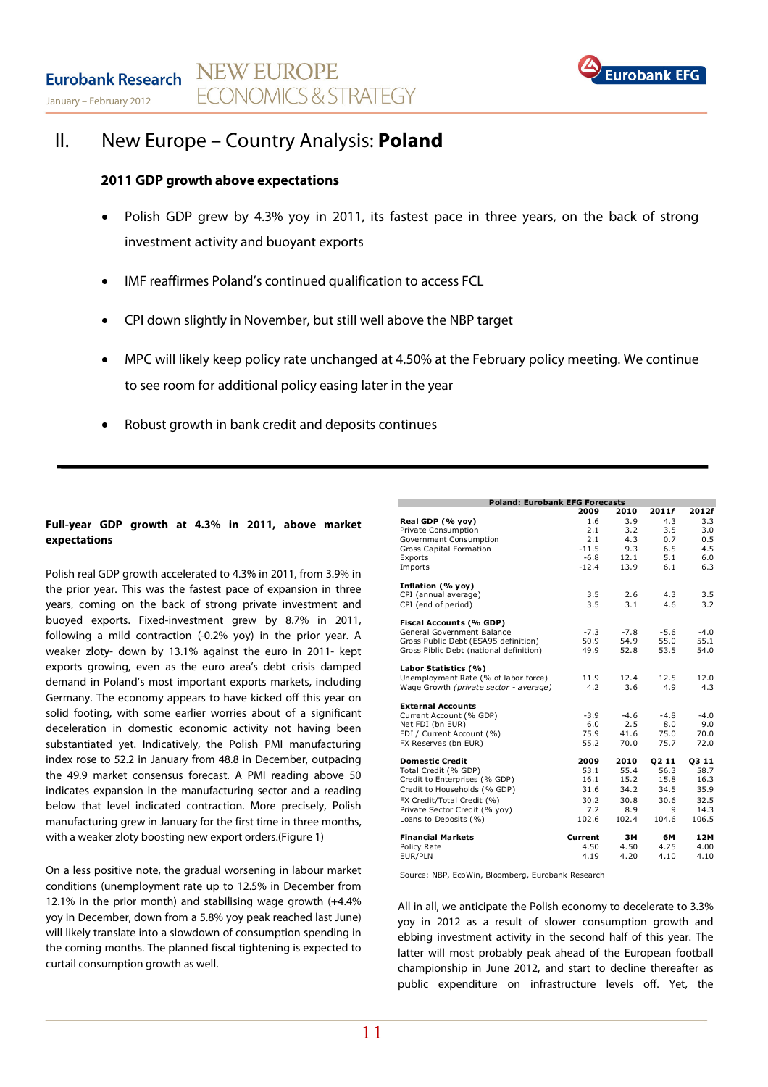

## II. New Europe – Country Analysis: **Poland**

## **2011 GDP growth above expectations**

- Polish GDP grew by 4.3% yoy in 2011, its fastest pace in three years, on the back of strong investment activity and buoyant exports
- IMF reaffirmes Poland's continued qualification to access FCL
- CPI down slightly in November, but still well above the NBP target
- MPC will likely keep policy rate unchanged at 4.50% at the February policy meeting. We continue to see room for additional policy easing later in the year
- Robust growth in bank credit and deposits continues

## **Full-year GDP growth at 4.3% in 2011, above market expectations**

Polish real GDP growth accelerated to 4.3% in 2011, from 3.9% in the prior year. This was the fastest pace of expansion in three years, coming on the back of strong private investment and buoyed exports. Fixed-investment grew by 8.7% in 2011, following a mild contraction (-0.2% yoy) in the prior year. A weaker zloty- down by 13.1% against the euro in 2011- kept exports growing, even as the euro area's debt crisis damped demand in Poland's most important exports markets, including Germany. The economy appears to have kicked off this year on solid footing, with some earlier worries about of a significant deceleration in domestic economic activity not having been substantiated yet. Indicatively, the Polish PMI manufacturing index rose to 52.2 in January from 48.8 in December, outpacing the 49.9 market consensus forecast. A PMI reading above 50 indicates expansion in the manufacturing sector and a reading below that level indicated contraction. More precisely, Polish manufacturing grew in January for the first time in three months, with a weaker zloty boosting new export orders.(Figure 1)

On a less positive note, the gradual worsening in labour market conditions (unemployment rate up to 12.5% in December from 12.1% in the prior month) and stabilising wage growth (+4.4% yoy in December, down from a 5.8% yoy peak reached last June) will likely translate into a slowdown of consumption spending in the coming months. The planned fiscal tightening is expected to curtail consumption growth as well.

| <b>Poland: Eurobank EFG Forecasts</b>   |         |        |        |        |
|-----------------------------------------|---------|--------|--------|--------|
|                                         | 2009    | 2010   | 2011f  | 2012f  |
| Real GDP (% yoy)                        | 1.6     | 3.9    | 4.3    | 3.3    |
| Private Consumption                     | 2.1     | 3.2    | 3.5    | 3.0    |
| Government Consumption                  | 2.1     | 4.3    | 0.7    | 0.5    |
| <b>Gross Capital Formation</b>          | $-11.5$ | 9.3    | 6.5    | 4.5    |
| Exports                                 | $-6.8$  | 12.1   | 5.1    | 6.0    |
| Imports                                 | $-12.4$ | 13.9   | 6.1    | 6.3    |
| Inflation (% yoy)                       |         |        |        |        |
| CPI (annual average)                    | 3.5     | 2.6    | 4.3    | 3.5    |
| CPI (end of period)                     | 3.5     | 3.1    | 4.6    | 3.2    |
| Fiscal Accounts (% GDP)                 |         |        |        |        |
| General Government Balance              | $-7.3$  | $-7.8$ | $-5.6$ | $-4.0$ |
| Gross Public Debt (ESA95 definition)    | 50.9    | 54.9   | 55.0   | 55.1   |
| Gross Piblic Debt (national definition) | 49.9    | 52.8   | 53.5   | 54.0   |
| Labor Statistics (%)                    |         |        |        |        |
| Unemployment Rate (% of labor force)    | 11.9    | 12.4   | 12.5   | 12.0   |
| Wage Growth (private sector - average)  | 4.2     | 3.6    | 4.9    | 4.3    |
| <b>External Accounts</b>                |         |        |        |        |
| Current Account (% GDP)                 | $-3.9$  | $-4.6$ | $-4.8$ | $-4.0$ |
| Net FDI (bn EUR)                        | 6.0     | 2.5    | 8.0    | 9.0    |
| FDI / Current Account (%)               | 75.9    | 41.6   | 75.0   | 70.0   |
| FX Reserves (bn EUR)                    | 55.2    | 70.0   | 75.7   | 72.0   |
| <b>Domestic Credit</b>                  | 2009    | 2010   | 02 11  | 03 11  |
| Total Credit (% GDP)                    | 53.1    | 55.4   | 56.3   | 58.7   |
| Credit to Enterprises (% GDP)           | 16.1    | 15.2   | 15.8   | 16.3   |
| Credit to Households (% GDP)            | 31.6    | 34.2   | 34.5   | 35.9   |
| FX Credit/Total Credit (%)              | 30.2    | 30.8   | 30.6   | 32.5   |
| Private Sector Credit (% vov)           | 7.2     | 8.9    | 9      | 14.3   |
| Loans to Deposits (%)                   | 102.6   | 102.4  | 104.6  | 106.5  |
| <b>Financial Markets</b>                | Current | ЗМ     | 6M     | 12M    |
| Policy Rate                             | 4.50    | 4.50   | 4.25   | 4.00   |
| EUR/PLN                                 | 4.19    | 4.20   | 4.10   | 4.10   |

Source: NBP, EcoWin, Bloomberg, Eurobank Research

All in all, we anticipate the Polish economy to decelerate to 3.3% yoy in 2012 as a result of slower consumption growth and ebbing investment activity in the second half of this year. The latter will most probably peak ahead of the European football championship in June 2012, and start to decline thereafter as public expenditure on infrastructure levels off. Yet, the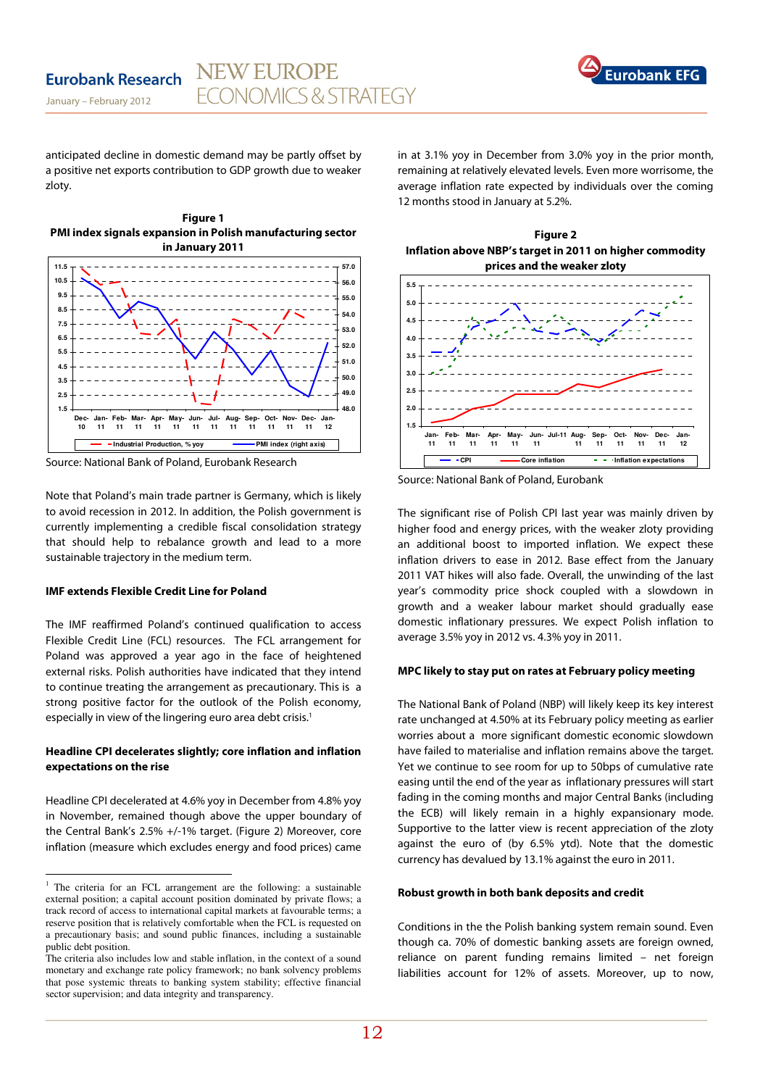

January – February 2012

anticipated decline in domestic demand may be partly offset by a positive net exports contribution to GDP growth due to weaker zloty.

**Figure 1** 



Source: National Bank of Poland, Eurobank Research

Note that Poland's main trade partner is Germany, which is likely to avoid recession in 2012. In addition, the Polish government is currently implementing a credible fiscal consolidation strategy that should help to rebalance growth and lead to a more sustainable trajectory in the medium term.

#### **IMF extends Flexible Credit Line for Poland**

l

The IMF reaffirmed Poland's continued qualification to access Flexible Credit Line (FCL) resources. The FCL arrangement for Poland was approved a year ago in the face of heightened external risks. Polish authorities have indicated that they intend to continue treating the arrangement as precautionary. This is a strong positive factor for the outlook of the Polish economy, especially in view of the lingering euro area debt crisis.<sup>1</sup>

## **Headline CPI decelerates slightly; core inflation and inflation expectations on the rise**

Headline CPI decelerated at 4.6% yoy in December from 4.8% yoy in November, remained though above the upper boundary of the Central Bank's 2.5% +/-1% target. (Figure 2) Moreover, core inflation (measure which excludes energy and food prices) came in at 3.1% yoy in December from 3.0% yoy in the prior month, remaining at relatively elevated levels. Even more worrisome, the average inflation rate expected by individuals over the coming 12 months stood in January at 5.2%.

**Figure 2 Inflation above NBP's target in 2011 on higher commodity prices and the weaker zloty** 



Source: National Bank of Poland, Eurobank

The significant rise of Polish CPI last year was mainly driven by higher food and energy prices, with the weaker zloty providing an additional boost to imported inflation. We expect these inflation drivers to ease in 2012. Base effect from the January 2011 VAT hikes will also fade. Overall, the unwinding of the last year's commodity price shock coupled with a slowdown in growth and a weaker labour market should gradually ease domestic inflationary pressures. We expect Polish inflation to average 3.5% yoy in 2012 vs. 4.3% yoy in 2011.

#### **MPC likely to stay put on rates at February policy meeting**

The National Bank of Poland (NBP) will likely keep its key interest rate unchanged at 4.50% at its February policy meeting as earlier worries about a more significant domestic economic slowdown have failed to materialise and inflation remains above the target. Yet we continue to see room for up to 50bps of cumulative rate easing until the end of the year as inflationary pressures will start fading in the coming months and major Central Banks (including the ECB) will likely remain in a highly expansionary mode. Supportive to the latter view is recent appreciation of the zloty against the euro of (by 6.5% ytd). Note that the domestic currency has devalued by 13.1% against the euro in 2011.

#### **Robust growth in both bank deposits and credit**

Conditions in the the Polish banking system remain sound. Even though ca. 70% of domestic banking assets are foreign owned. reliance on parent funding remains limited – net foreign liabilities account for 12% of assets. Moreover, up to now,

<sup>&</sup>lt;sup>1</sup> The criteria for an FCL arrangement are the following: a sustainable external position; a capital account position dominated by private flows; a track record of access to international capital markets at favourable terms; a reserve position that is relatively comfortable when the FCL is requested on a precautionary basis; and sound public finances, including a sustainable public debt position.

The criteria also includes low and stable inflation, in the context of a sound monetary and exchange rate policy framework; no bank solvency problems that pose systemic threats to banking system stability; effective financial sector supervision; and data integrity and transparency.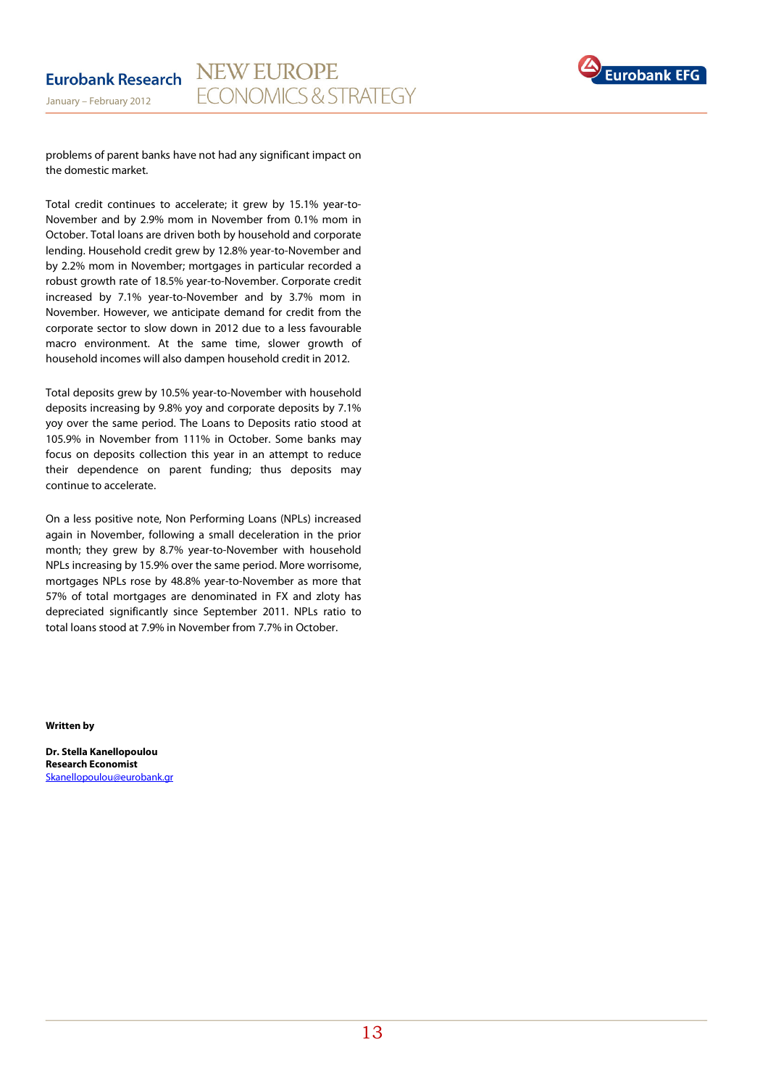

problems of parent banks have not had any significant impact on the domestic market.

Total credit continues to accelerate; it grew by 15.1% year-to-November and by 2.9% mom in November from 0.1% mom in October. Total loans are driven both by household and corporate lending. Household credit grew by 12.8% year-to-November and by 2.2% mom in November; mortgages in particular recorded a robust growth rate of 18.5% year-to-November. Corporate credit increased by 7.1% year-to-November and by 3.7% mom in November. However, we anticipate demand for credit from the corporate sector to slow down in 2012 due to a less favourable macro environment. At the same time, slower growth of household incomes will also dampen household credit in 2012.

Total deposits grew by 10.5% year-to-November with household deposits increasing by 9.8% yoy and corporate deposits by 7.1% yoy over the same period. The Loans to Deposits ratio stood at 105.9% in November from 111% in October. Some banks may focus on deposits collection this year in an attempt to reduce their dependence on parent funding; thus deposits may continue to accelerate.

On a less positive note, Non Performing Loans (NPLs) increased again in November, following a small deceleration in the prior month; they grew by 8.7% year-to-November with household NPLs increasing by 15.9% over the same period. More worrisome, mortgages NPLs rose by 48.8% year-to-November as more that 57% of total mortgages are denominated in FX and zloty has depreciated significantly since September 2011. NPLs ratio to total loans stood at 7.9% in November from 7.7% in October.

**Written by** 

**Dr. Stella Kanellopoulou Research Economist**  Skanellopoulou@eurobank.gr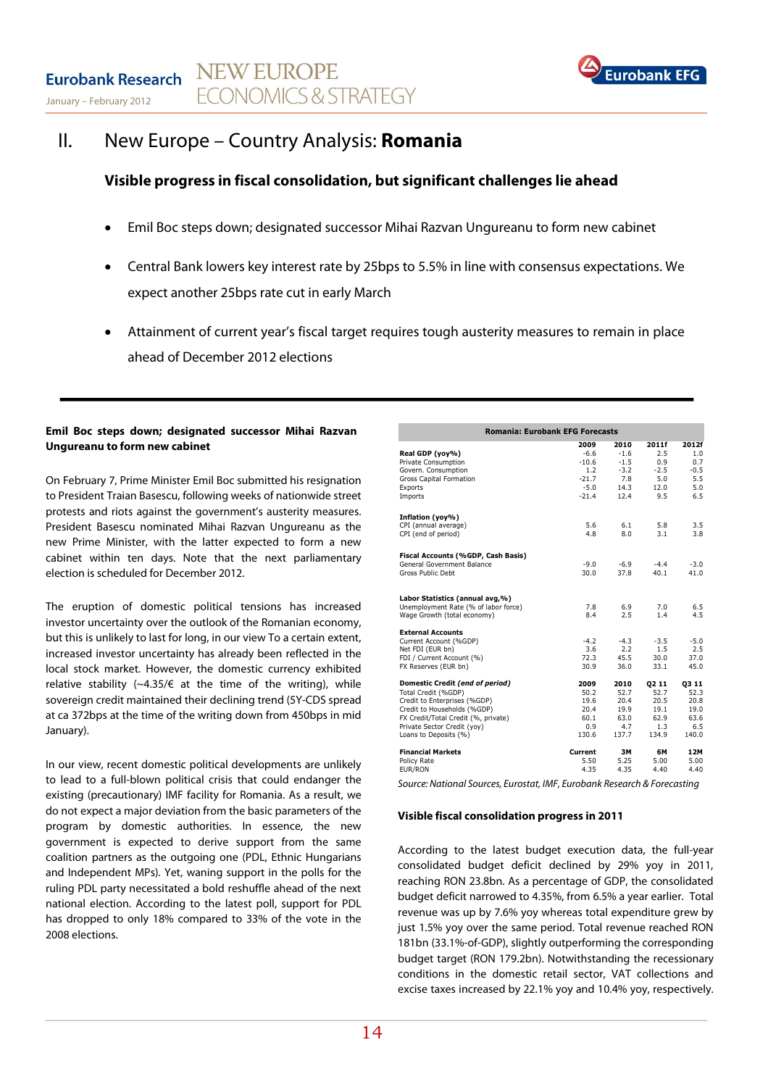

## II. New Europe – Country Analysis: **Romania**

## **Visible progress in fiscal consolidation, but significant challenges lie ahead**

- Emil Boc steps down; designated successor Mihai Razvan Ungureanu to form new cabinet
- Central Bank lowers key interest rate by 25bps to 5.5% in line with consensus expectations. We expect another 25bps rate cut in early March
- Attainment of current year's fiscal target requires tough austerity measures to remain in place ahead of December 2012 elections

### **Emil Boc steps down; designated successor Mihai Razvan Ungureanu to form new cabinet**

On February 7, Prime Minister Emil Boc submitted his resignation to President Traian Basescu, following weeks of nationwide street protests and riots against the government's austerity measures. President Basescu nominated Mihai Razvan Ungureanu as the new Prime Minister, with the latter expected to form a new cabinet within ten days. Note that the next parliamentary election is scheduled for December 2012.

The eruption of domestic political tensions has increased investor uncertainty over the outlook of the Romanian economy, but this is unlikely to last for long, in our view To a certain extent, increased investor uncertainty has already been reflected in the local stock market. However, the domestic currency exhibited relative stability (~4.35/ $\epsilon$  at the time of the writing), while sovereign credit maintained their declining trend (5Y-CDS spread at ca 372bps at the time of the writing down from 450bps in mid January).

In our view, recent domestic political developments are unlikely to lead to a full-blown political crisis that could endanger the existing (precautionary) IMF facility for Romania. As a result, we do not expect a major deviation from the basic parameters of the program by domestic authorities. In essence, the new government is expected to derive support from the same coalition partners as the outgoing one (PDL, Ethnic Hungarians and Independent MPs). Yet, waning support in the polls for the ruling PDL party necessitated a bold reshuffle ahead of the next national election. According to the latest poll, support for PDL has dropped to only 18% compared to 33% of the vote in the 2008 elections.

| <b>Romania: Eurobank EFG Forecasts</b>        |                   |                  |             |             |  |  |  |  |
|-----------------------------------------------|-------------------|------------------|-------------|-------------|--|--|--|--|
|                                               | 2009              | 2010             | 2011f       | 2012f       |  |  |  |  |
| Real GDP (yoy%)<br>Private Consumption        | $-6.6$<br>$-10.6$ | $-1.6$<br>$-1.5$ | 2.5<br>0.9  | 1.0<br>0.7  |  |  |  |  |
| Govern. Consumption                           | 1.2               | $-3.2$           | $-2.5$      | $-0.5$      |  |  |  |  |
| Gross Capital Formation                       | $-21.7$           | 7.8              | 5.0         | 5.5         |  |  |  |  |
| Exports                                       | $-5.0$            | 14.3             | 12.0        | 5.0         |  |  |  |  |
| Imports                                       | $-21.4$           | 12.4             | 9.5         | 6.5         |  |  |  |  |
| Inflation (yoy%)                              |                   |                  |             |             |  |  |  |  |
| CPI (annual average)                          | 5.6               | 6.1              | 5.8         | 3.5         |  |  |  |  |
| CPI (end of period)                           | 4.8               | 8.0              | 3.1         | 3.8         |  |  |  |  |
| Fiscal Accounts (%GDP, Cash Basis)            |                   |                  |             |             |  |  |  |  |
| General Government Balance                    | $-9.0$            | $-6.9$           | $-4.4$      | $-3.0$      |  |  |  |  |
| Gross Public Debt                             | 30.0              | 37.8             | 40.1        | 41.0        |  |  |  |  |
| Labor Statistics (annual avg,%)               |                   |                  |             |             |  |  |  |  |
| Unemployment Rate (% of labor force)          | 7.8               | 6.9              | 7.0         | 6.5         |  |  |  |  |
| Wage Growth (total economy)                   | 8.4               | 2.5              | 1.4         | 4.5         |  |  |  |  |
| <b>External Accounts</b>                      |                   |                  |             |             |  |  |  |  |
| Current Account (%GDP)                        | $-4.2$            | $-4.3$           | $-3.5$      | $-5.0$      |  |  |  |  |
| Net FDI (EUR bn)<br>FDI / Current Account (%) | 3.6<br>72.3       | 2.2<br>45.5      | 1.5<br>30.0 | 2.5<br>37.0 |  |  |  |  |
| FX Reserves (EUR bn)                          | 30.9              | 36.0             | 33.1        | 45.0        |  |  |  |  |
| Domestic Credit (end of period)               | 2009              | 2010             | 02 11       | 03 11       |  |  |  |  |
| Total Credit (%GDP)                           | 50.2              | 52.7             | 52.7        | 52.3        |  |  |  |  |
| Credit to Enterprises (%GDP)                  | 19.6              | 20.4             | 20.5        | 20.8        |  |  |  |  |
| Credit to Households (%GDP)                   | 20.4              | 19.9             | 19.1        | 19.0        |  |  |  |  |
| FX Credit/Total Credit (%, private)           | 60.1              | 63.0             | 62.9        | 63.6        |  |  |  |  |
| Private Sector Credit (yoy)                   | 0.9               | 4.7              | 1.3         | 6.5         |  |  |  |  |
| Loans to Deposits (%)                         | 130.6             | 137.7            | 134.9       | 140.0       |  |  |  |  |
| <b>Financial Markets</b>                      | Current           | 3M               | 6M          | 12M         |  |  |  |  |
| Policy Rate                                   | 5.50              | 5.25             | 5.00        | 5.00        |  |  |  |  |
| EUR/RON                                       | 4.35              | 4.35             | 4.40        | 4.40        |  |  |  |  |

Source: National Sources, Eurostat, IMF, Eurobank Research & Forecasting

### **Visible fiscal consolidation progress in 2011**

According to the latest budget execution data, the full-year consolidated budget deficit declined by 29% yoy in 2011, reaching RON 23.8bn. As a percentage of GDP, the consolidated budget deficit narrowed to 4.35%, from 6.5% a year earlier. Total revenue was up by 7.6% yoy whereas total expenditure grew by just 1.5% yoy over the same period. Total revenue reached RON 181bn (33.1%-of-GDP), slightly outperforming the corresponding budget target (RON 179.2bn). Notwithstanding the recessionary conditions in the domestic retail sector, VAT collections and excise taxes increased by 22.1% yoy and 10.4% yoy, respectively.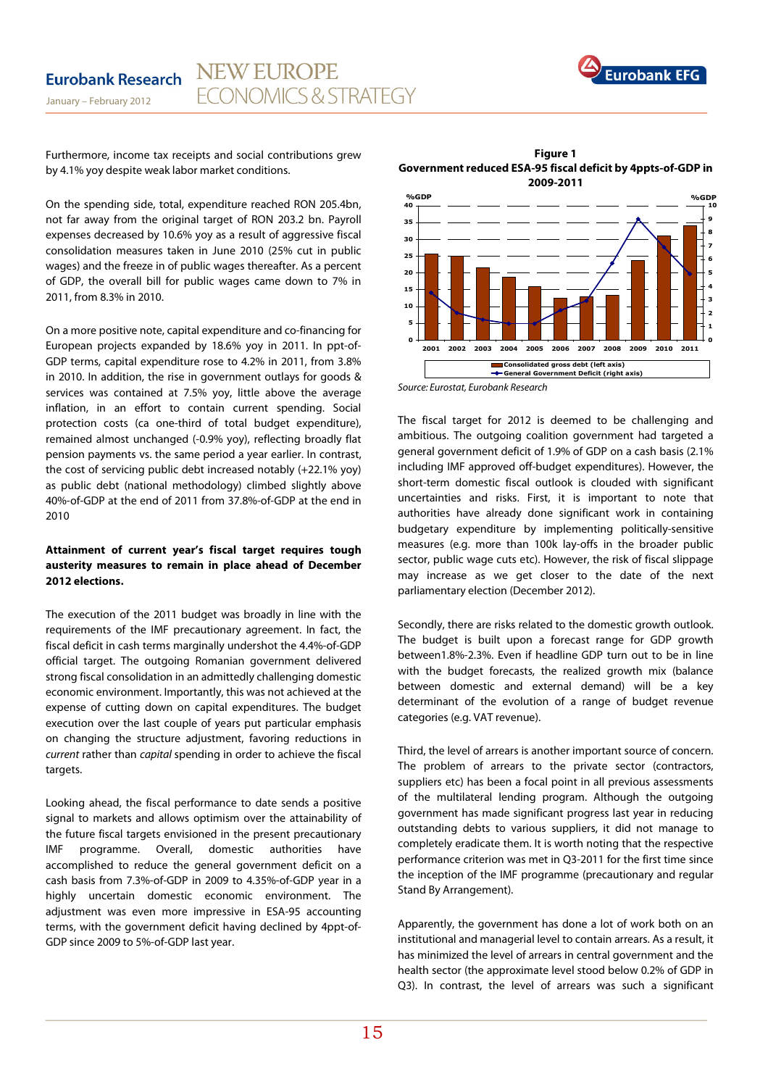

Furthermore, income tax receipts and social contributions grew by 4.1% yoy despite weak labor market conditions.

January – February 2012

On the spending side, total, expenditure reached RON 205.4bn, not far away from the original target of RON 203.2 bn. Payroll expenses decreased by 10.6% yoy as a result of aggressive fiscal consolidation measures taken in June 2010 (25% cut in public wages) and the freeze in of public wages thereafter. As a percent of GDP, the overall bill for public wages came down to 7% in 2011, from 8.3% in 2010.

On a more positive note, capital expenditure and co-financing for European projects expanded by 18.6% yoy in 2011. In ppt-of-GDP terms, capital expenditure rose to 4.2% in 2011, from 3.8% in 2010. In addition, the rise in government outlays for goods & services was contained at 7.5% yoy, little above the average inflation, in an effort to contain current spending. Social protection costs (ca one-third of total budget expenditure), remained almost unchanged (-0.9% yoy), reflecting broadly flat pension payments vs. the same period a year earlier. In contrast, the cost of servicing public debt increased notably (+22.1% yoy) as public debt (national methodology) climbed slightly above 40%-of-GDP at the end of 2011 from 37.8%-of-GDP at the end in 2010

## **Attainment of current year's fiscal target requires tough austerity measures to remain in place ahead of December 2012 elections.**

The execution of the 2011 budget was broadly in line with the requirements of the IMF precautionary agreement. In fact, the fiscal deficit in cash terms marginally undershot the 4.4%-of-GDP official target. The outgoing Romanian government delivered strong fiscal consolidation in an admittedly challenging domestic economic environment. Importantly, this was not achieved at the expense of cutting down on capital expenditures. The budget execution over the last couple of years put particular emphasis on changing the structure adjustment, favoring reductions in current rather than capital spending in order to achieve the fiscal targets.

Looking ahead, the fiscal performance to date sends a positive signal to markets and allows optimism over the attainability of the future fiscal targets envisioned in the present precautionary IMF programme. Overall, domestic authorities have accomplished to reduce the general government deficit on a cash basis from 7.3%-of-GDP in 2009 to 4.35%-of-GDP year in a highly uncertain domestic economic environment. The adjustment was even more impressive in ESA-95 accounting terms, with the government deficit having declined by 4ppt-of-GDP since 2009 to 5%-of-GDP last year.

**Figure 1 Government reduced ESA-95 fiscal deficit by 4ppts-of-GDP in 2009-2011** 



Source: Eurostat, Eurobank Research

The fiscal target for 2012 is deemed to be challenging and ambitious. The outgoing coalition government had targeted a general government deficit of 1.9% of GDP on a cash basis (2.1% including IMF approved off-budget expenditures). However, the short-term domestic fiscal outlook is clouded with significant uncertainties and risks. First, it is important to note that authorities have already done significant work in containing budgetary expenditure by implementing politically-sensitive measures (e.g. more than 100k lay-offs in the broader public sector, public wage cuts etc). However, the risk of fiscal slippage may increase as we get closer to the date of the next parliamentary election (December 2012).

Secondly, there are risks related to the domestic growth outlook. The budget is built upon a forecast range for GDP growth between1.8%-2.3%. Even if headline GDP turn out to be in line with the budget forecasts, the realized growth mix (balance between domestic and external demand) will be a key determinant of the evolution of a range of budget revenue categories (e.g. VAT revenue).

Third, the level of arrears is another important source of concern. The problem of arrears to the private sector (contractors, suppliers etc) has been a focal point in all previous assessments of the multilateral lending program. Although the outgoing government has made significant progress last year in reducing outstanding debts to various suppliers, it did not manage to completely eradicate them. It is worth noting that the respective performance criterion was met in Q3-2011 for the first time since the inception of the IMF programme (precautionary and regular Stand By Arrangement).

Apparently, the government has done a lot of work both on an institutional and managerial level to contain arrears. As a result, it has minimized the level of arrears in central government and the health sector (the approximate level stood below 0.2% of GDP in Q3). In contrast, the level of arrears was such a significant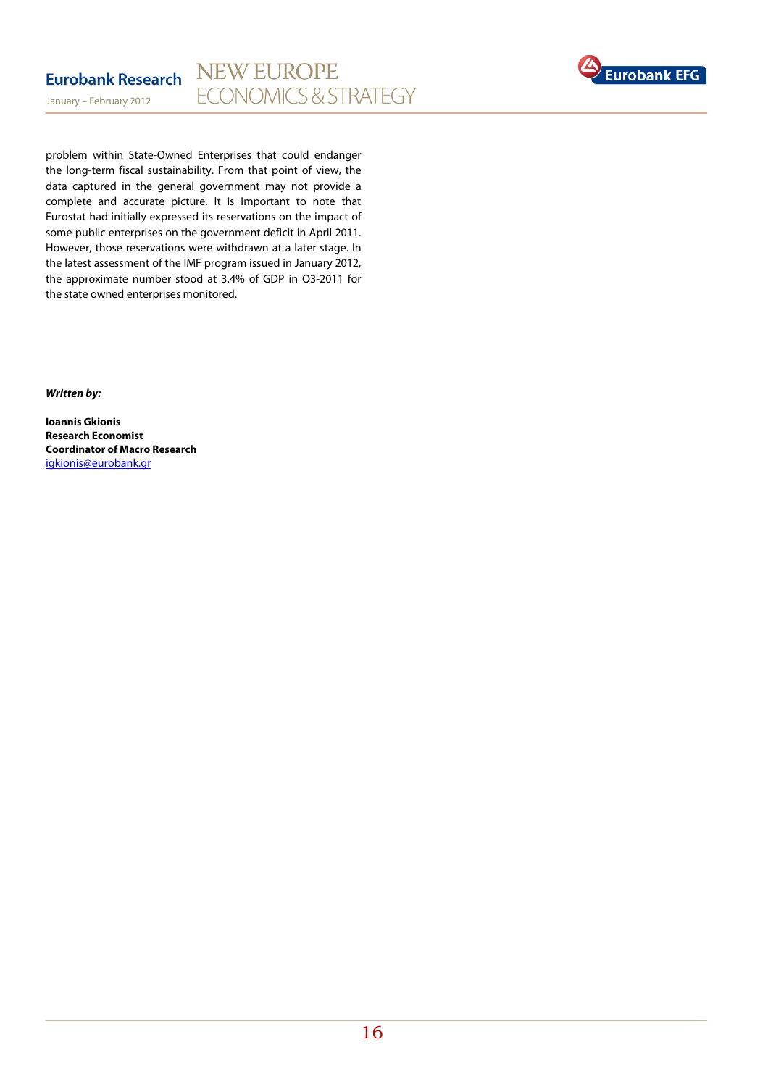

problem within State-Owned Enterprises that could endanger the long-term fiscal sustainability. From that point of view, the data captured in the general government may not provide a complete and accurate picture. It is important to note that Eurostat had initially expressed its reservations on the impact of some public enterprises on the government deficit in April 2011. However, those reservations were withdrawn at a later stage. In the latest assessment of the IMF program issued in January 2012, the approximate number stood at 3.4% of GDP in Q3-2011 for the state owned enterprises monitored.

**Written by:** 

January – February 2012

**Ioannis Gkionis Research Economist Coordinator of Macro Research**  igkionis@eurobank.gr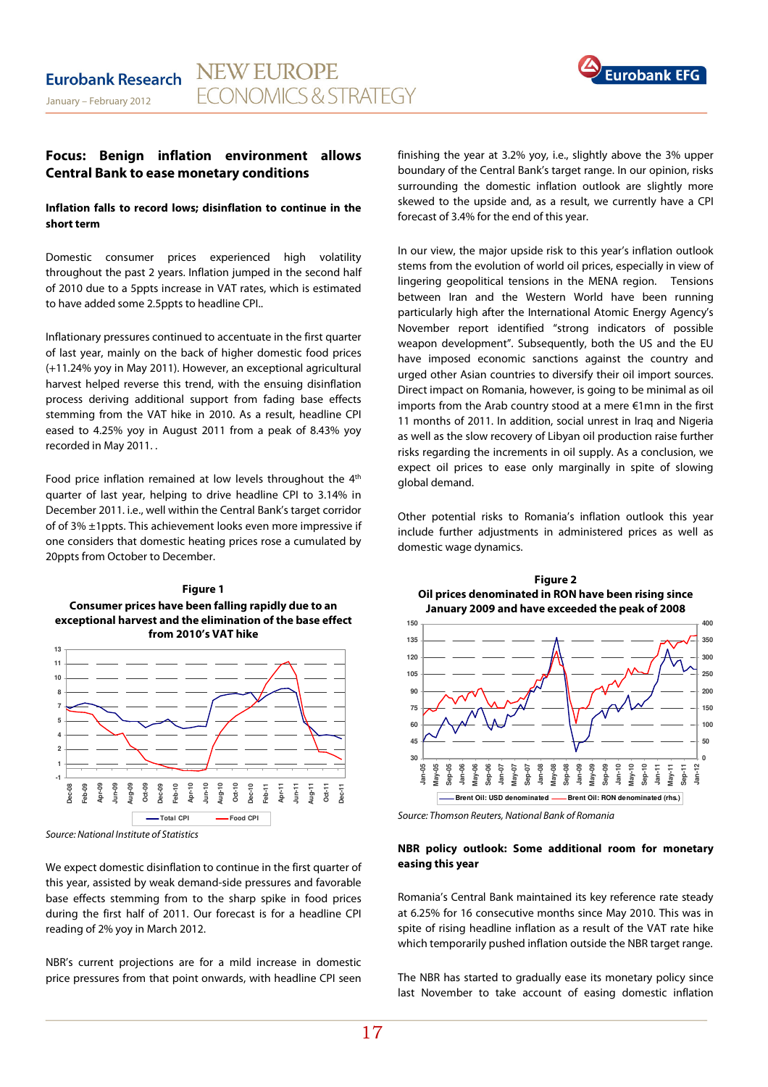

## **Focus: Benign inflation environment allows Central Bank to ease monetary conditions**

## **Inflation falls to record lows; disinflation to continue in the short term**

Domestic consumer prices experienced high volatility throughout the past 2 years. Inflation jumped in the second half of 2010 due to a 5ppts increase in VAT rates, which is estimated to have added some 2.5ppts to headline CPI..

Inflationary pressures continued to accentuate in the first quarter of last year, mainly on the back of higher domestic food prices (+11.24% yoy in May 2011). However, an exceptional agricultural harvest helped reverse this trend, with the ensuing disinflation process deriving additional support from fading base effects stemming from the VAT hike in 2010. As a result, headline CPI eased to 4.25% yoy in August 2011 from a peak of 8.43% yoy recorded in May 2011. .

Food price inflation remained at low levels throughout the 4<sup>th</sup> quarter of last year, helping to drive headline CPI to 3.14% in December 2011. i.e., well within the Central Bank's target corridor of of 3% ±1ppts. This achievement looks even more impressive if one considers that domestic heating prices rose a cumulated by 20ppts from October to December.

## **Figure 1 Consumer prices have been falling rapidly due to an exceptional harvest and the elimination of the base effect from 2010's VAT hike**



Source: National Institute of Statistics

We expect domestic disinflation to continue in the first quarter of this year, assisted by weak demand-side pressures and favorable base effects stemming from to the sharp spike in food prices during the first half of 2011. Our forecast is for a headline CPI reading of 2% yoy in March 2012.

NBR's current projections are for a mild increase in domestic price pressures from that point onwards, with headline CPI seen finishing the year at 3.2% yoy, i.e., slightly above the 3% upper boundary of the Central Bank's target range. In our opinion, risks surrounding the domestic inflation outlook are slightly more skewed to the upside and, as a result, we currently have a CPI forecast of 3.4% for the end of this year.

In our view, the major upside risk to this year's inflation outlook stems from the evolution of world oil prices, especially in view of lingering geopolitical tensions in the MENA region. Tensions between Iran and the Western World have been running particularly high after the International Atomic Energy Agency's November report identified "strong indicators of possible weapon development". Subsequently, both the US and the EU have imposed economic sanctions against the country and urged other Asian countries to diversify their oil import sources. Direct impact on Romania, however, is going to be minimal as oil imports from the Arab country stood at a mere €1mn in the first 11 months of 2011. In addition, social unrest in Iraq and Nigeria as well as the slow recovery of Libyan oil production raise further risks regarding the increments in oil supply. As a conclusion, we expect oil prices to ease only marginally in spite of slowing global demand.

Other potential risks to Romania's inflation outlook this year include further adjustments in administered prices as well as domestic wage dynamics.



**Figure 2** 



Source: Thomson Reuters, National Bank of Romania

## **NBR policy outlook: Some additional room for monetary easing this year**

Romania's Central Bank maintained its key reference rate steady at 6.25% for 16 consecutive months since May 2010. This was in spite of rising headline inflation as a result of the VAT rate hike which temporarily pushed inflation outside the NBR target range.

The NBR has started to gradually ease its monetary policy since last November to take account of easing domestic inflation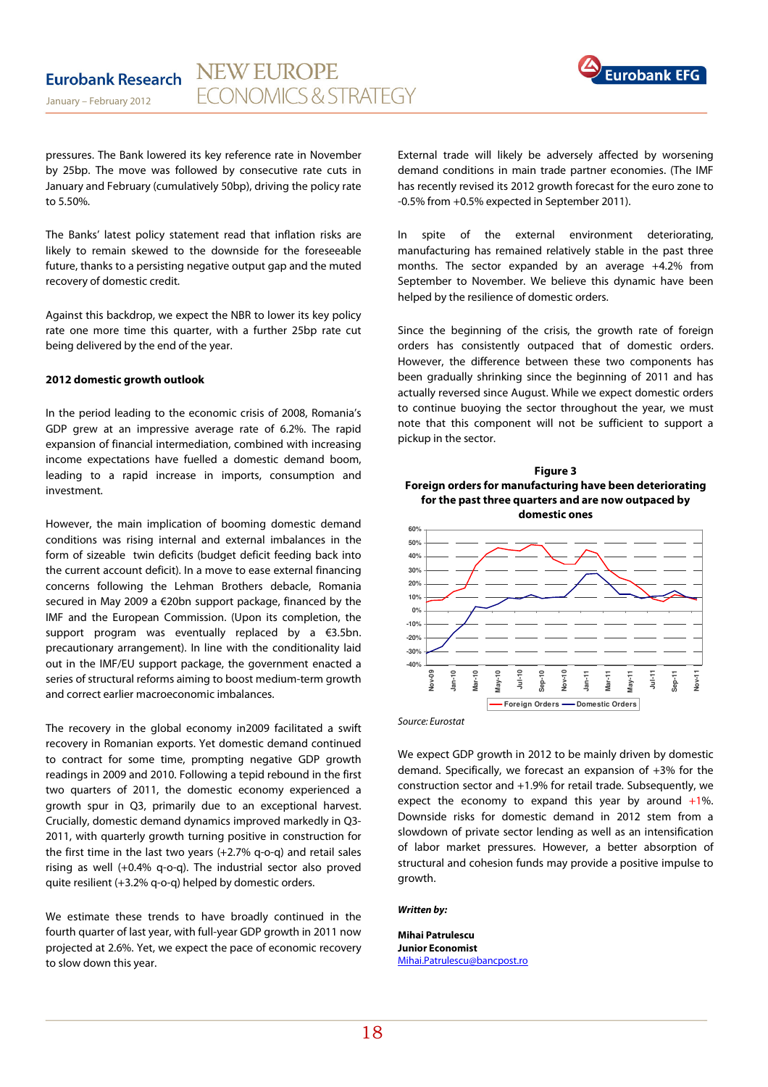

pressures. The Bank lowered its key reference rate in November by 25bp. The move was followed by consecutive rate cuts in January and February (cumulatively 50bp), driving the policy rate to 5.50%.

The Banks' latest policy statement read that inflation risks are likely to remain skewed to the downside for the foreseeable future, thanks to a persisting negative output gap and the muted recovery of domestic credit.

Against this backdrop, we expect the NBR to lower its key policy rate one more time this quarter, with a further 25bp rate cut being delivered by the end of the year.

#### **2012 domestic growth outlook**

In the period leading to the economic crisis of 2008, Romania's GDP grew at an impressive average rate of 6.2%. The rapid expansion of financial intermediation, combined with increasing income expectations have fuelled a domestic demand boom, leading to a rapid increase in imports, consumption and investment.

However, the main implication of booming domestic demand conditions was rising internal and external imbalances in the form of sizeable twin deficits (budget deficit feeding back into the current account deficit). In a move to ease external financing concerns following the Lehman Brothers debacle, Romania secured in May 2009 a €20bn support package, financed by the IMF and the European Commission. (Upon its completion, the support program was eventually replaced by a €3.5bn. precautionary arrangement). In line with the conditionality laid out in the IMF/EU support package, the government enacted a series of structural reforms aiming to boost medium-term growth and correct earlier macroeconomic imbalances.

The recovery in the global economy in2009 facilitated a swift recovery in Romanian exports. Yet domestic demand continued to contract for some time, prompting negative GDP growth readings in 2009 and 2010. Following a tepid rebound in the first two quarters of 2011, the domestic economy experienced a growth spur in Q3, primarily due to an exceptional harvest. Crucially, domestic demand dynamics improved markedly in Q3- 2011, with quarterly growth turning positive in construction for the first time in the last two years (+2.7% q-o-q) and retail sales rising as well (+0.4% q-o-q). The industrial sector also proved quite resilient (+3.2% q-o-q) helped by domestic orders.

We estimate these trends to have broadly continued in the fourth quarter of last year, with full-year GDP growth in 2011 now projected at 2.6%. Yet, we expect the pace of economic recovery to slow down this year.

External trade will likely be adversely affected by worsening demand conditions in main trade partner economies. (The IMF has recently revised its 2012 growth forecast for the euro zone to -0.5% from +0.5% expected in September 2011).

In spite of the external environment deteriorating, manufacturing has remained relatively stable in the past three months. The sector expanded by an average +4.2% from September to November. We believe this dynamic have been helped by the resilience of domestic orders.

Since the beginning of the crisis, the growth rate of foreign orders has consistently outpaced that of domestic orders. However, the difference between these two components has been gradually shrinking since the beginning of 2011 and has actually reversed since August. While we expect domestic orders to continue buoying the sector throughout the year, we must note that this component will not be sufficient to support a pickup in the sector.





Source: Eurostat

We expect GDP growth in 2012 to be mainly driven by domestic demand. Specifically, we forecast an expansion of +3% for the construction sector and +1.9% for retail trade. Subsequently, we expect the economy to expand this year by around  $+1\%$ . Downside risks for domestic demand in 2012 stem from a slowdown of private sector lending as well as an intensification of labor market pressures. However, a better absorption of structural and cohesion funds may provide a positive impulse to growth.

#### **Written by:**

**Mihai Patrulescu Junior Economist**  Mihai.Patrulescu@bancpost.ro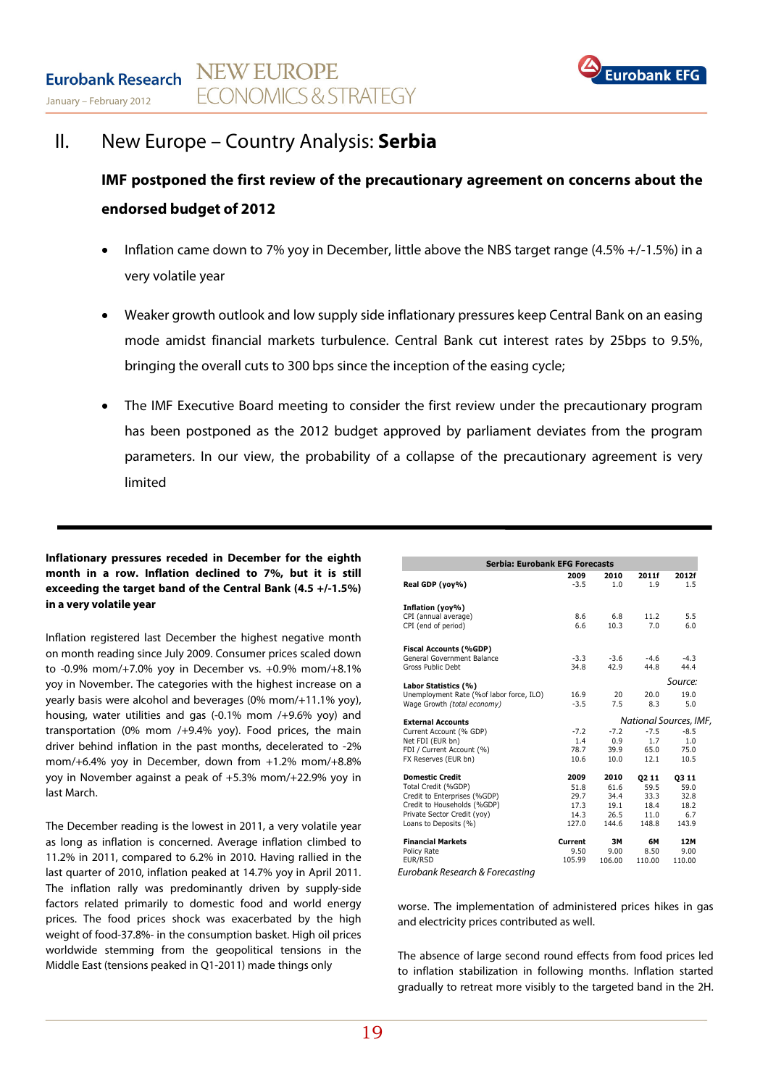

## II. New Europe – Country Analysis: **Serbia**

**IMF postponed the first review of the precautionary agreement on concerns about the endorsed budget of 2012**

- Inflation came down to 7% yoy in December, little above the NBS target range (4.5% +/-1.5%) in a very volatile year
- Weaker growth outlook and low supply side inflationary pressures keep Central Bank on an easing mode amidst financial markets turbulence. Central Bank cut interest rates by 25bps to 9.5%, bringing the overall cuts to 300 bps since the inception of the easing cycle;
- The IMF Executive Board meeting to consider the first review under the precautionary program has been postponed as the 2012 budget approved by parliament deviates from the program parameters. In our view, the probability of a collapse of the precautionary agreement is very limited

## Inflationary pressures receded in December for the eighth **month in a row. Inflation declined to 7%, but it is still exceeding the target band of the Central Bank (4.5 +/-1.5%) in a very volatile year**

Inflation registered last December the highest negative month on month reading since July 2009. Consumer prices scaled down to -0.9% mom/+7.0% yoy in December vs. +0.9% mom/+8.1% yoy in November. The categories with the highest increase on a yearly basis were alcohol and beverages (0% mom/+11.1% yoy), housing, water utilities and gas (-0.1% mom /+9.6% yoy) and transportation (0% mom /+9.4% yoy). Food prices, the main driver behind inflation in the past months, decelerated to -2% mom/+6.4% yoy in December, down from +1.2% mom/+8.8% yoy in November against a peak of +5.3% mom/+22.9% yoy in last March.

The December reading is the lowest in 2011, a very volatile year as long as inflation is concerned. Average inflation climbed to 11.2% in 2011, compared to 6.2% in 2010. Having rallied in the last quarter of 2010, inflation peaked at 14.7% yoy in April 2011. The inflation rally was predominantly driven by supply-side factors related primarily to domestic food and world energy prices. The food prices shock was exacerbated by the high weight of food-37.8%- in the consumption basket. High oil prices worldwide stemming from the geopolitical tensions in the Middle East (tensions peaked in Q1-2011) made things only

| Serbia: Eurobank EFG Forecasts           |                        |        |         |        |  |  |  |  |  |
|------------------------------------------|------------------------|--------|---------|--------|--|--|--|--|--|
|                                          | 2009                   | 2010   | 2011f   | 2012f  |  |  |  |  |  |
| Real GDP (yoy%)                          | $-3.5$                 | 1.0    | 1.9     | 1.5    |  |  |  |  |  |
| Inflation (yoy%)                         |                        |        |         |        |  |  |  |  |  |
| CPI (annual average)                     | 8.6                    | 6.8    | 11.2    | 5.5    |  |  |  |  |  |
| CPI (end of period)                      | 6.6                    | 10.3   | 7.0     | 6.0    |  |  |  |  |  |
| <b>Fiscal Accounts (%GDP)</b>            |                        |        |         |        |  |  |  |  |  |
| General Government Balance               | $-3.3$                 | $-3.6$ | $-4.6$  | $-4.3$ |  |  |  |  |  |
| Gross Public Debt                        | 34.8                   | 42.9   | 44.8    | 44.4   |  |  |  |  |  |
| Labor Statistics (%)                     |                        |        | Source: |        |  |  |  |  |  |
| Unemployment Rate (%of labor force, ILO) | 16.9                   | 20     | 20.0    | 19.0   |  |  |  |  |  |
| Wage Growth (total economy)              | $-3.5$                 | 7.5    | 8.3     | 5.0    |  |  |  |  |  |
| <b>External Accounts</b>                 | National Sources, IMF, |        |         |        |  |  |  |  |  |
| Current Account (% GDP)                  | $-7.2$                 | $-7.2$ | $-7.5$  | $-8.5$ |  |  |  |  |  |
| Net FDI (EUR bn)                         | 1.4                    | 0.9    | 1.7     | 1.0    |  |  |  |  |  |
| FDI / Current Account (%)                | 78.7                   | 39.9   | 65.0    | 75.0   |  |  |  |  |  |
| FX Reserves (EUR bn)                     | 10.6                   | 10.0   | 12.1    | 10.5   |  |  |  |  |  |
| <b>Domestic Credit</b>                   | 2009                   | 2010   | 02 11   | 0311   |  |  |  |  |  |
| Total Credit (%GDP)                      | 51.8                   | 61.6   | 59.5    | 59.0   |  |  |  |  |  |
| Credit to Enterprises (%GDP)             | 29.7                   | 34.4   | 33.3    | 32.8   |  |  |  |  |  |
| Credit to Households (%GDP)              | 17.3                   | 19.1   | 18.4    | 18.2   |  |  |  |  |  |
| Private Sector Credit (yoy)              | 14.3                   | 26.5   | 11.0    | 6.7    |  |  |  |  |  |
| Loans to Deposits (%)                    | 127.0                  | 144.6  | 148.8   | 143.9  |  |  |  |  |  |
| <b>Financial Markets</b>                 | Current                | 3M     | 6М      | 12M    |  |  |  |  |  |
| Policy Rate                              | 9.50                   | 9.00   | 8.50    | 9.00   |  |  |  |  |  |
| EUR/RSD                                  | 105.99                 | 106.00 | 110.00  | 110.00 |  |  |  |  |  |

Eurobank Research & Forecasting

worse. The implementation of administered prices hikes in gas and electricity prices contributed as well.

The absence of large second round effects from food prices led to inflation stabilization in following months. Inflation started gradually to retreat more visibly to the targeted band in the 2H.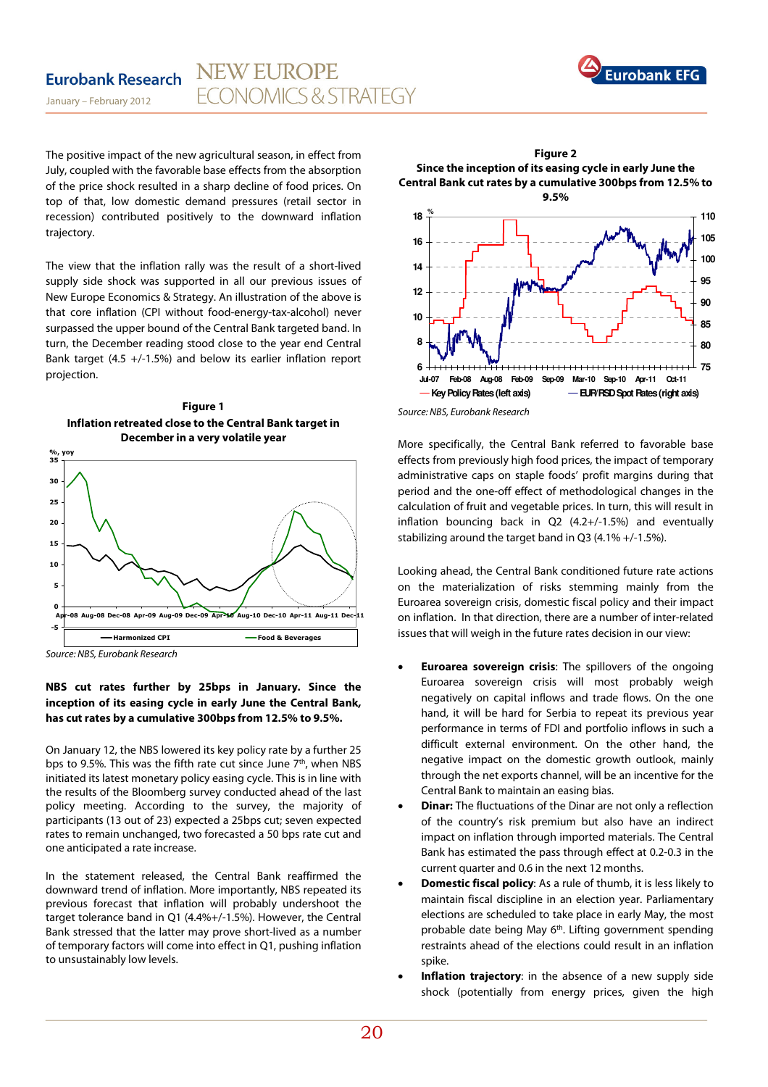

The positive impact of the new agricultural season, in effect from July, coupled with the favorable base effects from the absorption of the price shock resulted in a sharp decline of food prices. On top of that, low domestic demand pressures (retail sector in recession) contributed positively to the downward inflation trajectory.

The view that the inflation rally was the result of a short-lived supply side shock was supported in all our previous issues of New Europe Economics & Strategy. An illustration of the above is that core inflation (CPI without food-energy-tax-alcohol) never surpassed the upper bound of the Central Bank targeted band. In turn, the December reading stood close to the year end Central Bank target (4.5 +/-1.5%) and below its earlier inflation report projection.





Source: NBS, Eurobank Research

## **NBS cut rates further by 25bps in January. Since the inception of its easing cycle in early June the Central Bank, has cut rates by a cumulative 300bps from 12.5% to 9.5%.**

On January 12, the NBS lowered its key policy rate by a further 25 bps to 9.5%. This was the fifth rate cut since June  $7<sup>th</sup>$ , when NBS initiated its latest monetary policy easing cycle. This is in line with the results of the Bloomberg survey conducted ahead of the last policy meeting. According to the survey, the majority of participants (13 out of 23) expected a 25bps cut; seven expected rates to remain unchanged, two forecasted a 50 bps rate cut and one anticipated a rate increase.

In the statement released, the Central Bank reaffirmed the downward trend of inflation. More importantly, NBS repeated its previous forecast that inflation will probably undershoot the target tolerance band in Q1 (4.4%+/-1.5%). However, the Central Bank stressed that the latter may prove short-lived as a number of temporary factors will come into effect in Q1, pushing inflation to unsustainably low levels.



**Figure 2** 

More specifically, the Central Bank referred to favorable base effects from previously high food prices, the impact of temporary administrative caps on staple foods' profit margins during that period and the one-off effect of methodological changes in the calculation of fruit and vegetable prices. In turn, this will result in inflation bouncing back in Q2 (4.2+/-1.5%) and eventually stabilizing around the target band in Q3 (4.1% +/-1.5%).

Looking ahead, the Central Bank conditioned future rate actions on the materialization of risks stemming mainly from the Euroarea sovereign crisis, domestic fiscal policy and their impact on inflation. In that direction, there are a number of inter-related issues that will weigh in the future rates decision in our view:

- **Euroarea sovereign crisis:** The spillovers of the ongoing Euroarea sovereign crisis will most probably weigh negatively on capital inflows and trade flows. On the one hand, it will be hard for Serbia to repeat its previous year performance in terms of FDI and portfolio inflows in such a difficult external environment. On the other hand, the negative impact on the domestic growth outlook, mainly through the net exports channel, will be an incentive for the Central Bank to maintain an easing bias.
- **Dinar:** The fluctuations of the Dinar are not only a reflection of the country's risk premium but also have an indirect impact on inflation through imported materials. The Central Bank has estimated the pass through effect at 0.2-0.3 in the current quarter and 0.6 in the next 12 months.
- **Domestic fiscal policy**: As a rule of thumb, it is less likely to maintain fiscal discipline in an election year. Parliamentary elections are scheduled to take place in early May, the most probable date being May 6<sup>th</sup>. Lifting government spending restraints ahead of the elections could result in an inflation spike.
- **Inflation trajectory**: in the absence of a new supply side shock (potentially from energy prices, given the high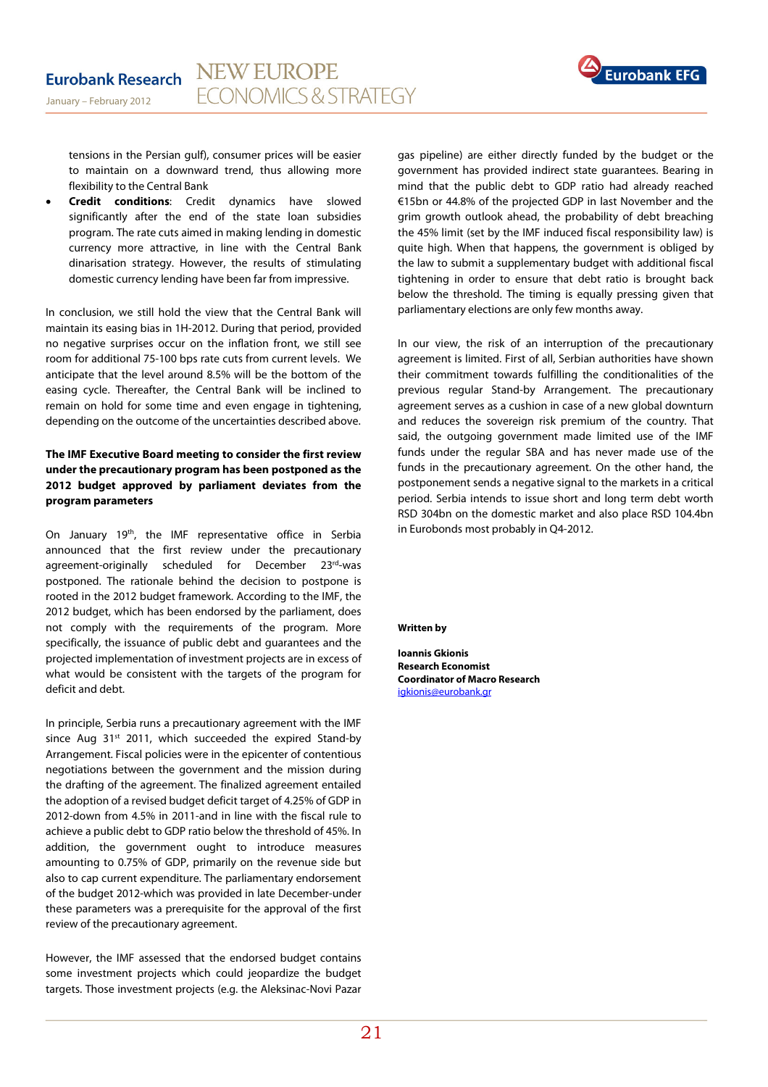

tensions in the Persian gulf), consumer prices will be easier to maintain on a downward trend, thus allowing more flexibility to the Central Bank

• **Credit conditions**: Credit dynamics have slowed significantly after the end of the state loan subsidies program. The rate cuts aimed in making lending in domestic currency more attractive, in line with the Central Bank dinarisation strategy. However, the results of stimulating domestic currency lending have been far from impressive.

In conclusion, we still hold the view that the Central Bank will maintain its easing bias in 1H-2012. During that period, provided no negative surprises occur on the inflation front, we still see room for additional 75-100 bps rate cuts from current levels. We anticipate that the level around 8.5% will be the bottom of the easing cycle. Thereafter, the Central Bank will be inclined to remain on hold for some time and even engage in tightening, depending on the outcome of the uncertainties described above.

## **The IMF Executive Board meeting to consider the first review under the precautionary program has been postponed as the 2012 budget approved by parliament deviates from the program parameters**

On January 19<sup>th</sup>, the IMF representative office in Serbia announced that the first review under the precautionary agreement-originally scheduled for December 23rd-was postponed. The rationale behind the decision to postpone is rooted in the 2012 budget framework. According to the IMF, the 2012 budget, which has been endorsed by the parliament, does not comply with the requirements of the program. More specifically, the issuance of public debt and guarantees and the projected implementation of investment projects are in excess of what would be consistent with the targets of the program for deficit and debt.

In principle, Serbia runs a precautionary agreement with the IMF since Aug  $31<sup>st</sup>$  2011, which succeeded the expired Stand-by Arrangement. Fiscal policies were in the epicenter of contentious negotiations between the government and the mission during the drafting of the agreement. The finalized agreement entailed the adoption of a revised budget deficit target of 4.25% of GDP in 2012-down from 4.5% in 2011-and in line with the fiscal rule to achieve a public debt to GDP ratio below the threshold of 45%. In addition, the government ought to introduce measures amounting to 0.75% of GDP, primarily on the revenue side but also to cap current expenditure. The parliamentary endorsement of the budget 2012-which was provided in late December-under these parameters was a prerequisite for the approval of the first review of the precautionary agreement.

However, the IMF assessed that the endorsed budget contains some investment projects which could jeopardize the budget targets. Those investment projects (e.g. the Aleksinac-Novi Pazar

gas pipeline) are either directly funded by the budget or the government has provided indirect state guarantees. Bearing in mind that the public debt to GDP ratio had already reached €15bn or 44.8% of the projected GDP in last November and the grim growth outlook ahead, the probability of debt breaching the 45% limit (set by the IMF induced fiscal responsibility law) is quite high. When that happens, the government is obliged by the law to submit a supplementary budget with additional fiscal tightening in order to ensure that debt ratio is brought back below the threshold. The timing is equally pressing given that parliamentary elections are only few months away.

In our view, the risk of an interruption of the precautionary agreement is limited. First of all, Serbian authorities have shown their commitment towards fulfilling the conditionalities of the previous regular Stand-by Arrangement. The precautionary agreement serves as a cushion in case of a new global downturn and reduces the sovereign risk premium of the country. That said, the outgoing government made limited use of the IMF funds under the regular SBA and has never made use of the funds in the precautionary agreement. On the other hand, the postponement sends a negative signal to the markets in a critical period. Serbia intends to issue short and long term debt worth RSD 304bn on the domestic market and also place RSD 104.4bn in Eurobonds most probably in Q4-2012.

**Written by** 

**Ioannis Gkionis Research Economist Coordinator of Macro Research**  igkionis@eurobank.gr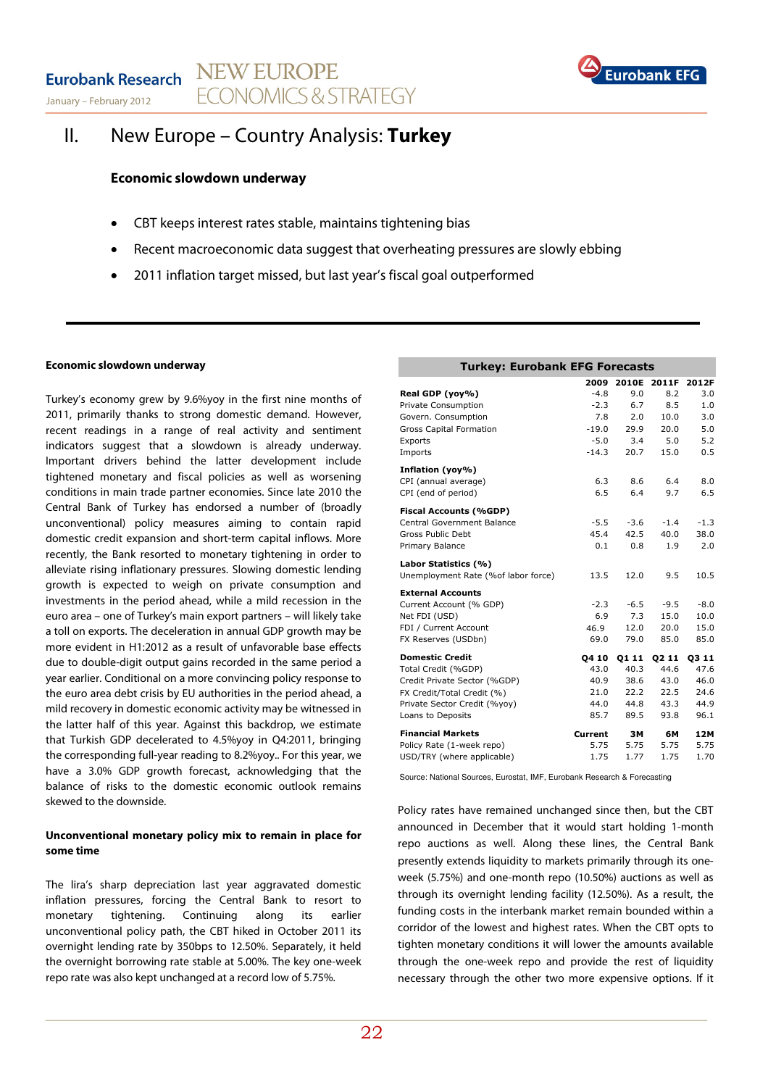January – February 2012



## II. New Europe – Country Analysis: **Turkey**

## **Economic slowdown underway**

- CBT keeps interest rates stable, maintains tightening bias
- Recent macroeconomic data suggest that overheating pressures are slowly ebbing
- 2011 inflation target missed, but last year's fiscal goal outperformed

### **Economic slowdown underway**

Turkey's economy grew by 9.6%yoy in the first nine months of 2011, primarily thanks to strong domestic demand. However, recent readings in a range of real activity and sentiment indicators suggest that a slowdown is already underway. Important drivers behind the latter development include tightened monetary and fiscal policies as well as worsening conditions in main trade partner economies. Since late 2010 the Central Bank of Turkey has endorsed a number of (broadly unconventional) policy measures aiming to contain rapid domestic credit expansion and short-term capital inflows. More recently, the Bank resorted to monetary tightening in order to alleviate rising inflationary pressures. Slowing domestic lending growth is expected to weigh on private consumption and investments in the period ahead, while a mild recession in the euro area – one of Turkey's main export partners – will likely take a toll on exports. The deceleration in annual GDP growth may be more evident in H1:2012 as a result of unfavorable base effects due to double-digit output gains recorded in the same period a year earlier. Conditional on a more convincing policy response to the euro area debt crisis by EU authorities in the period ahead, a mild recovery in domestic economic activity may be witnessed in the latter half of this year. Against this backdrop, we estimate that Turkish GDP decelerated to 4.5%yoy in Q4:2011, bringing the corresponding full-year reading to 8.2%yoy.. For this year, we have a 3.0% GDP growth forecast, acknowledging that the balance of risks to the domestic economic outlook remains skewed to the downside.

## **Unconventional monetary policy mix to remain in place for some time**

The lira's sharp depreciation last year aggravated domestic inflation pressures, forcing the Central Bank to resort to monetary tightening. Continuing along its earlier unconventional policy path, the CBT hiked in October 2011 its overnight lending rate by 350bps to 12.50%. Separately, it held the overnight borrowing rate stable at 5.00%. The key one-week repo rate was also kept unchanged at a record low of 5.75%.

| <b>Turkey: Eurobank EFG Forecasts</b> |         |        |                   |        |  |  |  |  |
|---------------------------------------|---------|--------|-------------------|--------|--|--|--|--|
|                                       | 2009    | 2010E  | 2011F             | 2012F  |  |  |  |  |
| Real GDP (yoy%)                       | $-4.8$  | 9.0    | 8.2               | 3.0    |  |  |  |  |
| <b>Private Consumption</b>            | $-2.3$  | 6.7    | 8.5               | 1.0    |  |  |  |  |
| Govern. Consumption                   | 7.8     | 2.0    | 10.0              | 3.0    |  |  |  |  |
| <b>Gross Capital Formation</b>        | $-19.0$ | 29.9   | 20.0              | 5.0    |  |  |  |  |
| Exports                               | $-5.0$  | 3.4    | 5.0               | 5.2    |  |  |  |  |
| Imports                               | $-14.3$ | 20.7   | 15.0              | 0.5    |  |  |  |  |
| Inflation (yoy%)                      |         |        |                   |        |  |  |  |  |
| CPI (annual average)                  | 6.3     | 8.6    | 6.4               | 8.0    |  |  |  |  |
| CPI (end of period)                   | 6.5     | 6.4    | 9.7               | 6.5    |  |  |  |  |
| <b>Fiscal Accounts (%GDP)</b>         |         |        |                   |        |  |  |  |  |
| Central Government Balance            | $-5.5$  | $-3.6$ | $-1.4$            | $-1.3$ |  |  |  |  |
| Gross Public Debt                     | 45.4    | 42.5   | 40.0              | 38.0   |  |  |  |  |
| Primary Balance                       | 0.1     | 0.8    | 1.9               | 2.0    |  |  |  |  |
| Labor Statistics (%)                  |         |        |                   |        |  |  |  |  |
| Unemployment Rate (%of labor force)   | 13.5    | 12.0   | 9.5               | 10.5   |  |  |  |  |
| <b>External Accounts</b>              |         |        |                   |        |  |  |  |  |
| Current Account (% GDP)               | $-2.3$  | $-6.5$ | $-9.5$            | $-8.0$ |  |  |  |  |
| Net FDI (USD)                         | 6.9     | 7.3    | 15.0              | 10.0   |  |  |  |  |
| FDI / Current Account                 | 46.9    | 12.0   | 20.0              | 15.0   |  |  |  |  |
| FX Reserves (USDbn)                   | 69.0    | 79.0   | 85.0              | 85.0   |  |  |  |  |
| <b>Domestic Credit</b>                | 04 10   | 01 11  | Q <sub>2</sub> 11 | 03 11  |  |  |  |  |
| Total Credit (%GDP)                   | 43.0    | 40.3   | 44.6              | 47.6   |  |  |  |  |
| Credit Private Sector (%GDP)          | 40.9    | 38.6   | 43.0              | 46.0   |  |  |  |  |
| FX Credit/Total Credit (%)            | 21.0    | 22.2   | 22.5              | 24.6   |  |  |  |  |
| Private Sector Credit (%yoy)          | 44.0    | 44.8   | 43.3              | 44.9   |  |  |  |  |
| Loans to Deposits                     | 85.7    | 89.5   | 93.8              | 96.1   |  |  |  |  |
| <b>Financial Markets</b>              | Current | зм     | 6M                | 12M    |  |  |  |  |
| Policy Rate (1-week repo)             | 5.75    | 5.75   | 5.75              | 5.75   |  |  |  |  |
| USD/TRY (where applicable)            | 1.75    | 1.77   | 1.75              | 1.70   |  |  |  |  |

Source: National Sources, Eurostat, IMF, Eurobank Research & Forecasting

Policy rates have remained unchanged since then, but the CBT announced in December that it would start holding 1-month repo auctions as well. Along these lines, the Central Bank presently extends liquidity to markets primarily through its oneweek (5.75%) and one-month repo (10.50%) auctions as well as through its overnight lending facility (12.50%). As a result, the funding costs in the interbank market remain bounded within a corridor of the lowest and highest rates. When the CBT opts to tighten monetary conditions it will lower the amounts available through the one-week repo and provide the rest of liquidity necessary through the other two more expensive options. If it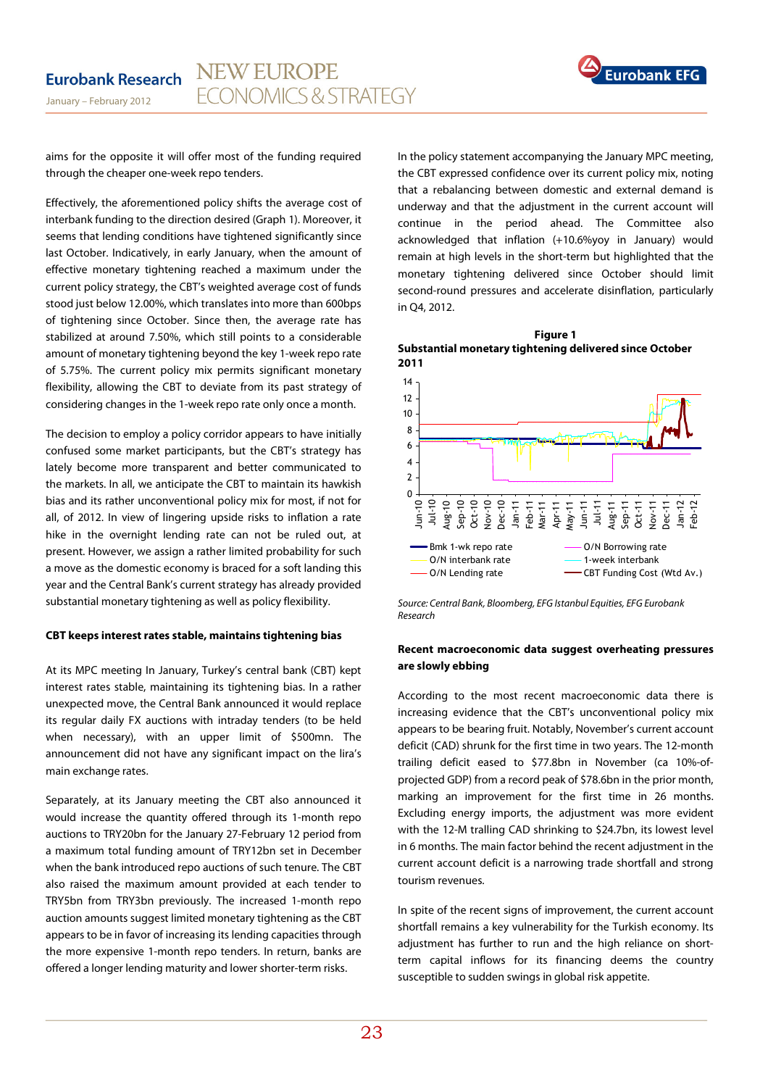

aims for the opposite it will offer most of the funding required through the cheaper one-week repo tenders.

Effectively, the aforementioned policy shifts the average cost of interbank funding to the direction desired (Graph 1). Moreover, it seems that lending conditions have tightened significantly since last October. Indicatively, in early January, when the amount of effective monetary tightening reached a maximum under the current policy strategy, the CBT's weighted average cost of funds stood just below 12.00%, which translates into more than 600bps of tightening since October. Since then, the average rate has stabilized at around 7.50%, which still points to a considerable amount of monetary tightening beyond the key 1-week repo rate of 5.75%. The current policy mix permits significant monetary flexibility, allowing the CBT to deviate from its past strategy of considering changes in the 1-week repo rate only once a month.

The decision to employ a policy corridor appears to have initially confused some market participants, but the CBT's strategy has lately become more transparent and better communicated to the markets. In all, we anticipate the CBT to maintain its hawkish bias and its rather unconventional policy mix for most, if not for all, of 2012. In view of lingering upside risks to inflation a rate hike in the overnight lending rate can not be ruled out, at present. However, we assign a rather limited probability for such a move as the domestic economy is braced for a soft landing this year and the Central Bank's current strategy has already provided substantial monetary tightening as well as policy flexibility.

#### **CBT keeps interest rates stable, maintains tightening bias**

At its MPC meeting In January, Turkey's central bank (CBT) kept interest rates stable, maintaining its tightening bias. In a rather unexpected move, the Central Bank announced it would replace its regular daily FX auctions with intraday tenders (to be held when necessary), with an upper limit of \$500mn. The announcement did not have any significant impact on the lira's main exchange rates.

Separately, at its January meeting the CBT also announced it would increase the quantity offered through its 1-month repo auctions to TRY20bn for the January 27-February 12 period from a maximum total funding amount of TRY12bn set in December when the bank introduced repo auctions of such tenure. The CBT also raised the maximum amount provided at each tender to TRY5bn from TRY3bn previously. The increased 1-month repo auction amounts suggest limited monetary tightening as the CBT appears to be in favor of increasing its lending capacities through the more expensive 1-month repo tenders. In return, banks are offered a longer lending maturity and lower shorter-term risks.

In the policy statement accompanying the January MPC meeting, the CBT expressed confidence over its current policy mix, noting that a rebalancing between domestic and external demand is underway and that the adjustment in the current account will continue in the period ahead. The Committee also acknowledged that inflation (+10.6%yoy in January) would remain at high levels in the short-term but highlighted that the monetary tightening delivered since October should limit second-round pressures and accelerate disinflation, particularly in Q4, 2012.

**Figure 1 Substantial monetary tightening delivered since October 2011**



Source: Central Bank, Bloomberg, EFG Istanbul Equities, EFG Eurobank Research

### **Recent macroeconomic data suggest overheating pressures are slowly ebbing**

According to the most recent macroeconomic data there is increasing evidence that the CBT's unconventional policy mix appears to be bearing fruit. Notably, November's current account deficit (CAD) shrunk for the first time in two years. The 12-month trailing deficit eased to \$77.8bn in November (ca 10%-ofprojected GDP) from a record peak of \$78.6bn in the prior month, marking an improvement for the first time in 26 months. Excluding energy imports, the adjustment was more evident with the 12-M tralling CAD shrinking to \$24.7bn, its lowest level in 6 months. The main factor behind the recent adjustment in the current account deficit is a narrowing trade shortfall and strong tourism revenues.

In spite of the recent signs of improvement, the current account shortfall remains a key vulnerability for the Turkish economy. Its adjustment has further to run and the high reliance on shortterm capital inflows for its financing deems the country susceptible to sudden swings in global risk appetite.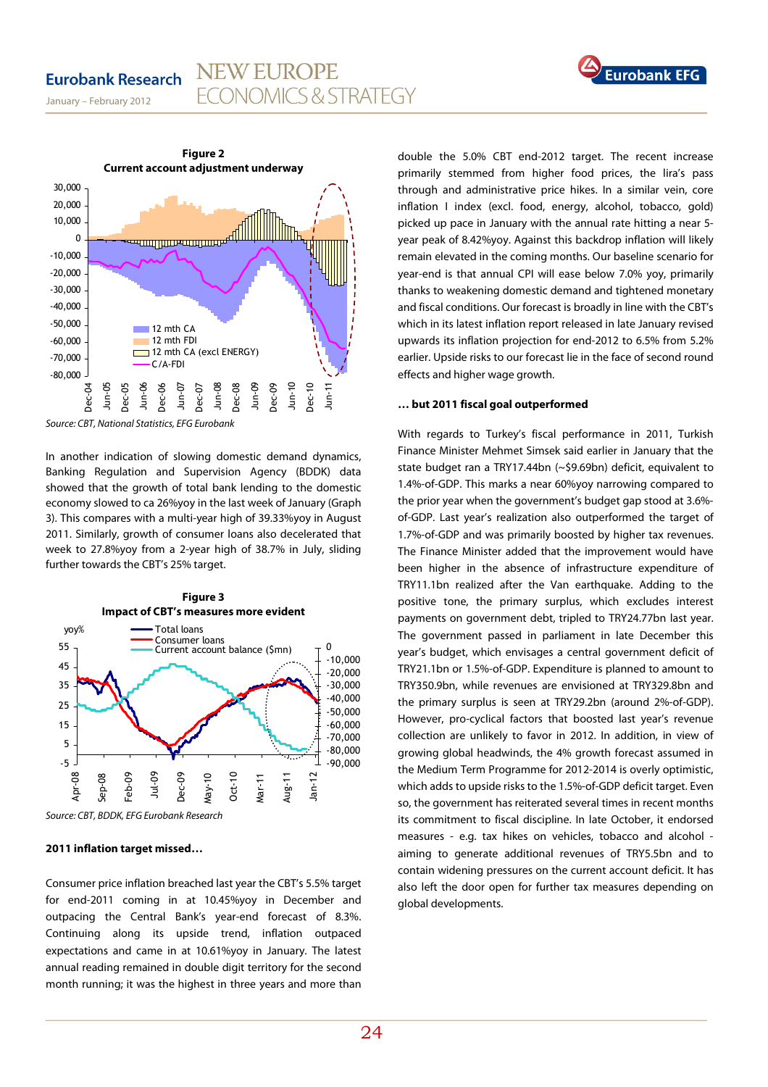## **Eurobank Research**



January – February 2012



Source: CBT, National Statistics, EFG Eurobank

In another indication of slowing domestic demand dynamics, Banking Regulation and Supervision Agency (BDDK) data showed that the growth of total bank lending to the domestic economy slowed to ca 26%yoy in the last week of January (Graph 3). This compares with a multi-year high of 39.33%yoy in August 2011. Similarly, growth of consumer loans also decelerated that week to 27.8%yoy from a 2-year high of 38.7% in July, sliding further towards the CBT's 25% target.



Source: CBT, BDDK, EFG Eurobank Research

#### **2011 inflation target missed…**

Consumer price inflation breached last year the CBT's 5.5% target for end-2011 coming in at 10.45%yoy in December and outpacing the Central Bank's year-end forecast of 8.3%. Continuing along its upside trend, inflation outpaced expectations and came in at 10.61%yoy in January. The latest annual reading remained in double digit territory for the second month running; it was the highest in three years and more than

double the 5.0% CBT end-2012 target. The recent increase primarily stemmed from higher food prices, the lira's pass through and administrative price hikes. In a similar vein, core inflation I index (excl. food, energy, alcohol, tobacco, gold) picked up pace in January with the annual rate hitting a near 5 year peak of 8.42%yoy. Against this backdrop inflation will likely remain elevated in the coming months. Our baseline scenario for year-end is that annual CPI will ease below 7.0% yoy, primarily thanks to weakening domestic demand and tightened monetary and fiscal conditions. Our forecast is broadly in line with the CBT's which in its latest inflation report released in late January revised upwards its inflation projection for end-2012 to 6.5% from 5.2% earlier. Upside risks to our forecast lie in the face of second round effects and higher wage growth.

### **… but 2011 fiscal goal outperformed**

With regards to Turkey's fiscal performance in 2011, Turkish Finance Minister Mehmet Simsek said earlier in January that the state budget ran a TRY17.44bn (~\$9.69bn) deficit, equivalent to 1.4%-of-GDP. This marks a near 60%yoy narrowing compared to the prior year when the government's budget gap stood at 3.6% of-GDP. Last year's realization also outperformed the target of 1.7%-of-GDP and was primarily boosted by higher tax revenues. The Finance Minister added that the improvement would have been higher in the absence of infrastructure expenditure of TRY11.1bn realized after the Van earthquake. Adding to the positive tone, the primary surplus, which excludes interest payments on government debt, tripled to TRY24.77bn last year. The government passed in parliament in late December this year's budget, which envisages a central government deficit of TRY21.1bn or 1.5%-of-GDP. Expenditure is planned to amount to TRY350.9bn, while revenues are envisioned at TRY329.8bn and the primary surplus is seen at TRY29.2bn (around 2%-of-GDP). However, pro-cyclical factors that boosted last year's revenue collection are unlikely to favor in 2012. In addition, in view of growing global headwinds, the 4% growth forecast assumed in the Medium Term Programme for 2012-2014 is overly optimistic, which adds to upside risks to the 1.5%-of-GDP deficit target. Even so, the government has reiterated several times in recent months its commitment to fiscal discipline. In late October, it endorsed measures - e.g. tax hikes on vehicles, tobacco and alcohol aiming to generate additional revenues of TRY5.5bn and to contain widening pressures on the current account deficit. It has also left the door open for further tax measures depending on global developments.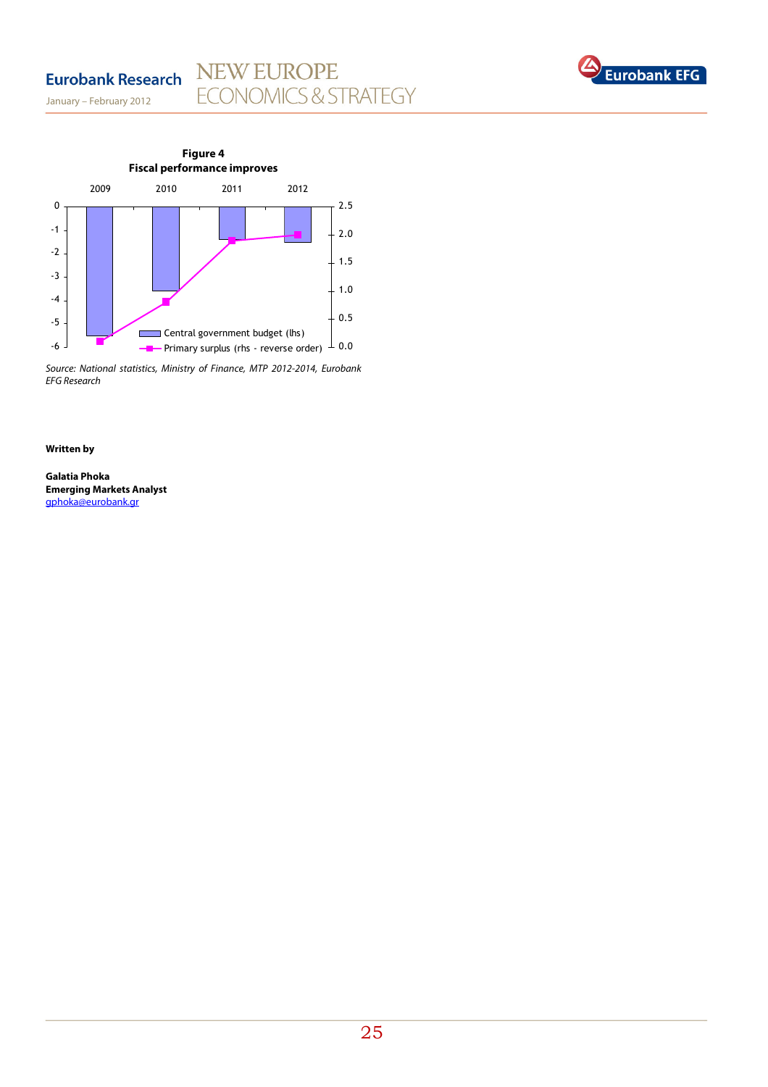## NEW EUROPE<br>ECONOMICS & STRATEGY **Eurobank Research**

January – February 2012



Source: National statistics, Ministry of Finance, MTP 2012-2014, Eurobank EFG Research

#### **Written by**

**Galatia Phoka Emerging Markets Analyst**  gphoka@eurobank.gr

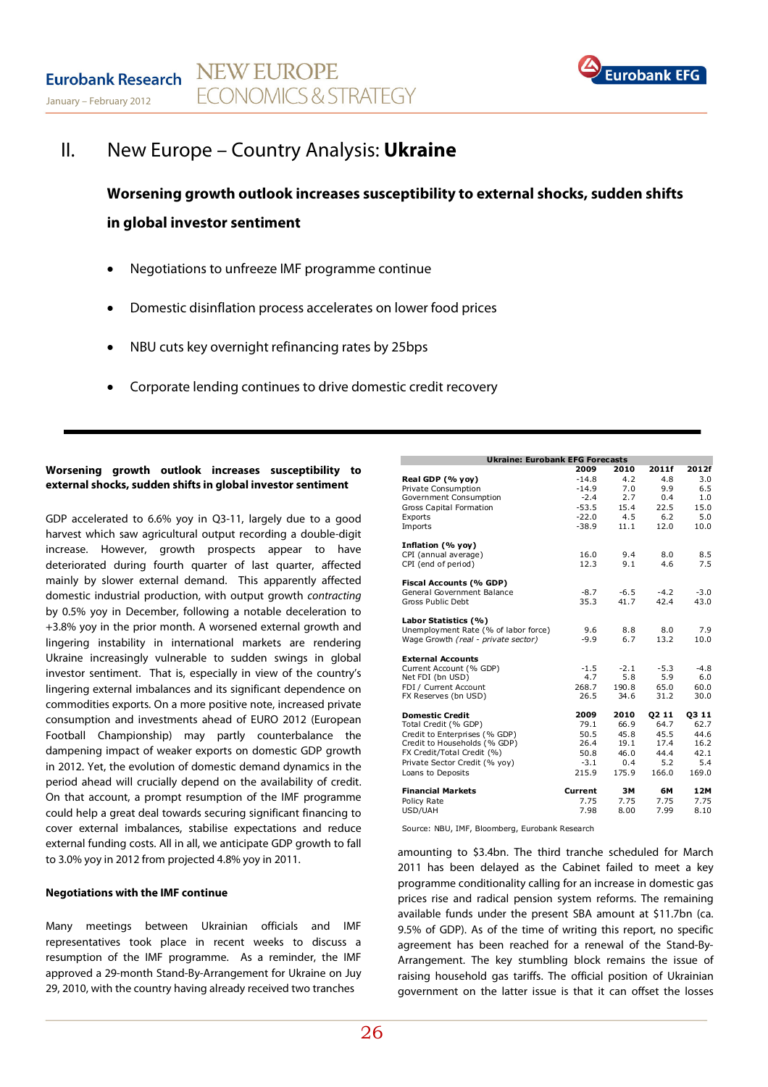

## II. New Europe – Country Analysis: **Ukraine**

**Worsening growth outlook increases susceptibility to external shocks, sudden shifts in global investor sentiment** 

- Negotiations to unfreeze IMF programme continue
- Domestic disinflation process accelerates on lower food prices
- NBU cuts key overnight refinancing rates by 25bps
- Corporate lending continues to drive domestic credit recovery

### **Worsening growth outlook increases susceptibility to external shocks, sudden shifts in global investor sentiment**

GDP accelerated to 6.6% yoy in Q3-11, largely due to a good harvest which saw agricultural output recording a double-digit increase. However, growth prospects appear to have deteriorated during fourth quarter of last quarter, affected mainly by slower external demand. This apparently affected domestic industrial production, with output growth contracting by 0.5% yoy in December, following a notable deceleration to +3.8% yoy in the prior month. A worsened external growth and lingering instability in international markets are rendering Ukraine increasingly vulnerable to sudden swings in global investor sentiment. That is, especially in view of the country's lingering external imbalances and its significant dependence on commodities exports. On a more positive note, increased private consumption and investments ahead of EURO 2012 (European Football Championship) may partly counterbalance the dampening impact of weaker exports on domestic GDP growth in 2012. Yet, the evolution of domestic demand dynamics in the period ahead will crucially depend on the availability of credit. On that account, a prompt resumption of the IMF programme could help a great deal towards securing significant financing to cover external imbalances, stabilise expectations and reduce external funding costs. All in all, we anticipate GDP growth to fall to 3.0% yoy in 2012 from projected 4.8% yoy in 2011.

#### **Negotiations with the IMF continue**

Many meetings between Ukrainian officials and IMF representatives took place in recent weeks to discuss a resumption of the IMF programme. As a reminder, the IMF approved a 29-month Stand-By-Arrangement for Ukraine on Juy 29, 2010, with the country having already received two tranches

| <b>Ukraine: Eurobank EFG Forecasts</b> |         |        |        |        |  |  |  |  |
|----------------------------------------|---------|--------|--------|--------|--|--|--|--|
|                                        | 2009    | 2010   | 2011f  | 2012f  |  |  |  |  |
| Real GDP (% yoy)                       | $-14.8$ | 4.2    | 4.8    | 3.0    |  |  |  |  |
| Private Consumption                    | $-14.9$ | 7.0    | 9.9    | 6.5    |  |  |  |  |
| Government Consumption                 | $-2.4$  | 2.7    | 0.4    | 1.0    |  |  |  |  |
| <b>Gross Capital Formation</b>         | $-53.5$ | 15.4   | 22.5   | 15.0   |  |  |  |  |
| Exports                                | $-22.0$ | 4.5    | 6.2    | 5.0    |  |  |  |  |
| Imports                                | $-38.9$ | 11.1   | 12.0   | 10.0   |  |  |  |  |
| Inflation (% yoy)                      |         |        |        |        |  |  |  |  |
| CPI (annual average)                   | 16.0    | 9.4    | 8.0    | 8.5    |  |  |  |  |
| CPI (end of period)                    | 12.3    | 9.1    | 4.6    | 7.5    |  |  |  |  |
| Fiscal Accounts (% GDP)                |         |        |        |        |  |  |  |  |
| General Government Balance             | $-8.7$  | $-6.5$ | $-4.2$ | $-3.0$ |  |  |  |  |
| Gross Public Debt                      | 35.3    | 41.7   | 42.4   | 43.0   |  |  |  |  |
| Labor Statistics (%)                   |         |        |        |        |  |  |  |  |
| Unemployment Rate (% of labor force)   | 9.6     | 8.8    | 8.0    | 7.9    |  |  |  |  |
| Wage Growth (real - private sector)    | $-9.9$  | 6.7    | 13.2   | 10.0   |  |  |  |  |
|                                        |         |        |        |        |  |  |  |  |
| <b>External Accounts</b>               |         |        |        |        |  |  |  |  |
| Current Account (% GDP)                | $-1.5$  | $-2.1$ | $-5.3$ | $-4.8$ |  |  |  |  |
| Net FDI (bn USD)                       | 4.7     | 5.8    | 5.9    | 6.0    |  |  |  |  |
| FDI / Current Account                  | 268.7   | 190.8  | 65.0   | 60.0   |  |  |  |  |
| FX Reserves (bn USD)                   | 26.5    | 34.6   | 31.2   | 30.0   |  |  |  |  |
| <b>Domestic Credit</b>                 | 2009    | 2010   | 02 11  | 03 11  |  |  |  |  |
| Total Credit (% GDP)                   | 79.1    | 66.9   | 64.7   | 62.7   |  |  |  |  |
| Credit to Enterprises (% GDP)          | 50.5    | 45.8   | 45.5   | 44.6   |  |  |  |  |
| Credit to Households (% GDP)           | 26.4    | 19.1   | 17.4   | 16.2   |  |  |  |  |
| FX Credit/Total Credit (%)             | 50.8    | 46.0   | 44.4   | 42.1   |  |  |  |  |
| Private Sector Credit (% yoy)          | $-3.1$  | 0.4    | 5.2    | 5.4    |  |  |  |  |
| Loans to Deposits                      | 215.9   | 175.9  | 166.0  | 169.0  |  |  |  |  |
| <b>Financial Markets</b>               | Current | ЗΜ     | 6М     | 12M    |  |  |  |  |
| Policy Rate                            | 7.75    | 7.75   | 7.75   | 7.75   |  |  |  |  |
| USD/UAH                                | 7.98    | 8.00   | 7.99   | 8.10   |  |  |  |  |
|                                        |         |        |        |        |  |  |  |  |

Source: NBU, IMF, Bloomberg, Eurobank Research

amounting to \$3.4bn. The third tranche scheduled for March 2011 has been delayed as the Cabinet failed to meet a key programme conditionality calling for an increase in domestic gas prices rise and radical pension system reforms. The remaining available funds under the present SBA amount at \$11.7bn (ca. 9.5% of GDP). As of the time of writing this report, no specific agreement has been reached for a renewal of the Stand-By-Arrangement. The key stumbling block remains the issue of raising household gas tariffs. The official position of Ukrainian government on the latter issue is that it can offset the losses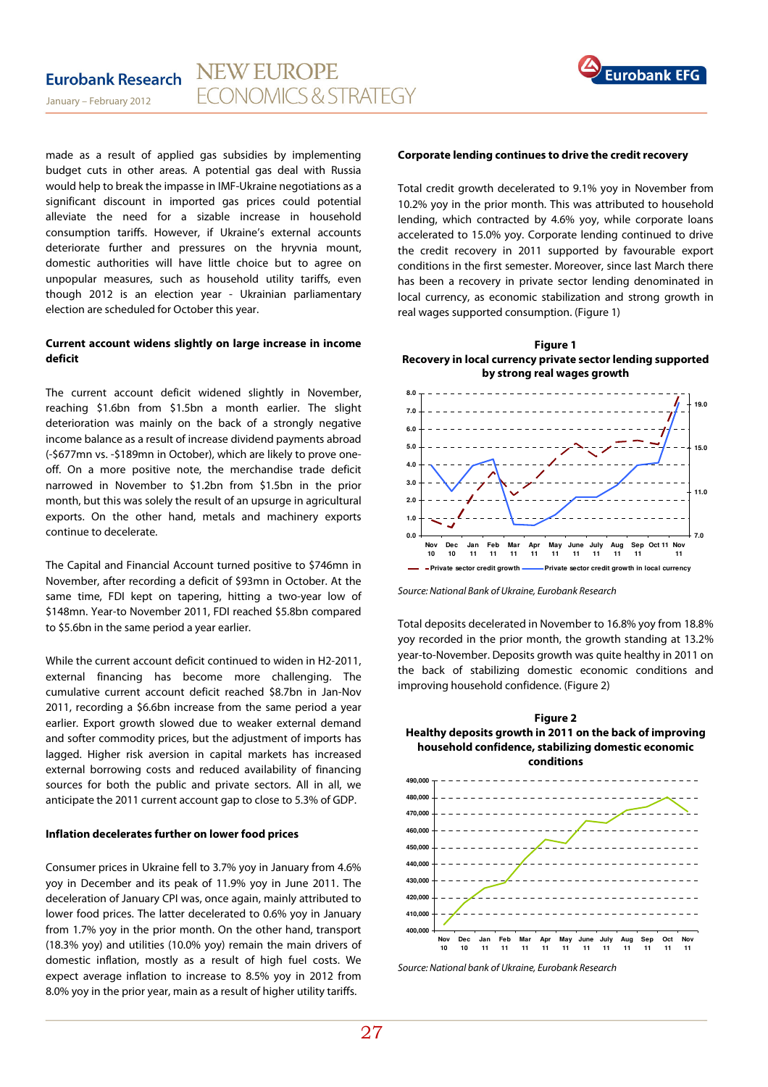

made as a result of applied gas subsidies by implementing budget cuts in other areas. A potential gas deal with Russia would help to break the impasse in IMF-Ukraine negotiations as a significant discount in imported gas prices could potential alleviate the need for a sizable increase in household consumption tariffs. However, if Ukraine's external accounts deteriorate further and pressures on the hryvnia mount, domestic authorities will have little choice but to agree on unpopular measures, such as household utility tariffs, even though 2012 is an election year - Ukrainian parliamentary election are scheduled for October this year.

## **Current account widens slightly on large increase in income deficit**

The current account deficit widened slightly in November, reaching \$1.6bn from \$1.5bn a month earlier. The slight deterioration was mainly on the back of a strongly negative income balance as a result of increase dividend payments abroad (-\$677mn vs. -\$189mn in October), which are likely to prove oneoff. On a more positive note, the merchandise trade deficit narrowed in November to \$1.2bn from \$1.5bn in the prior month, but this was solely the result of an upsurge in agricultural exports. On the other hand, metals and machinery exports continue to decelerate.

The Capital and Financial Account turned positive to \$746mn in November, after recording a deficit of \$93mn in October. At the same time, FDI kept on tapering, hitting a two-year low of \$148mn. Year-to November 2011, FDI reached \$5.8bn compared to \$5.6bn in the same period a year earlier.

While the current account deficit continued to widen in H2-2011, external financing has become more challenging. The cumulative current account deficit reached \$8.7bn in Jan-Nov 2011, recording a \$6.6bn increase from the same period a year earlier. Export growth slowed due to weaker external demand and softer commodity prices, but the adjustment of imports has lagged. Higher risk aversion in capital markets has increased external borrowing costs and reduced availability of financing sources for both the public and private sectors. All in all, we anticipate the 2011 current account gap to close to 5.3% of GDP.

## **Inflation decelerates further on lower food prices**

Consumer prices in Ukraine fell to 3.7% yoy in January from 4.6% yoy in December and its peak of 11.9% yoy in June 2011. The deceleration of January CPI was, once again, mainly attributed to lower food prices. The latter decelerated to 0.6% yoy in January from 1.7% yoy in the prior month. On the other hand, transport (18.3% yoy) and utilities (10.0% yoy) remain the main drivers of domestic inflation, mostly as a result of high fuel costs. We expect average inflation to increase to 8.5% yoy in 2012 from 8.0% yoy in the prior year, main as a result of higher utility tariffs.

#### **Corporate lending continues to drive the credit recovery**

Total credit growth decelerated to 9.1% yoy in November from 10.2% yoy in the prior month. This was attributed to household lending, which contracted by 4.6% yoy, while corporate loans accelerated to 15.0% yoy. Corporate lending continued to drive the credit recovery in 2011 supported by favourable export conditions in the first semester. Moreover, since last March there has been a recovery in private sector lending denominated in local currency, as economic stabilization and strong growth in real wages supported consumption. (Figure 1)

**Figure 1 Recovery in local currency private sector lending supported by strong real wages growth** 



Source: National Bank of Ukraine, Eurobank Research

Total deposits decelerated in November to 16.8% yoy from 18.8% yoy recorded in the prior month, the growth standing at 13.2% year-to-November. Deposits growth was quite healthy in 2011 on the back of stabilizing domestic economic conditions and improving household confidence. (Figure 2)

## **Figure 2 Healthy deposits growth in 2011 on the back of improving household confidence, stabilizing domestic economic conditions**



Source: National bank of Ukraine, Eurobank Research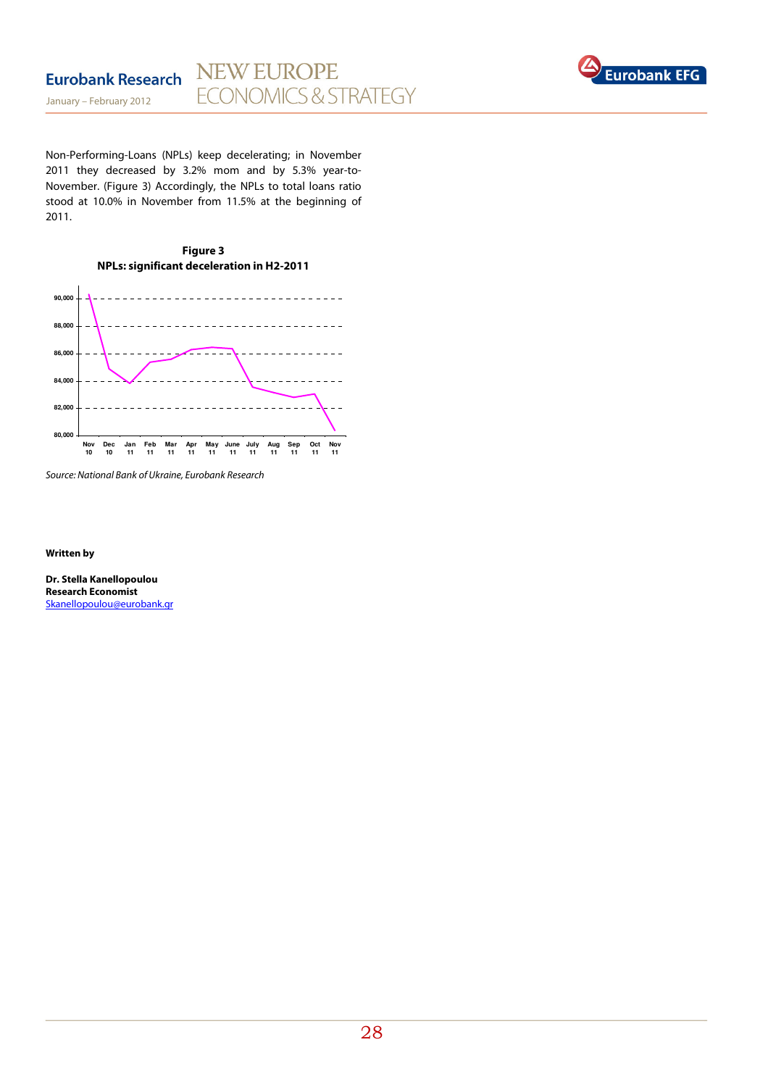

Non-Performing-Loans (NPLs) keep decelerating; in November 2011 they decreased by 3.2% mom and by 5.3% year-to-November. (Figure 3) Accordingly, the NPLs to total loans ratio stood at 10.0% in November from 11.5% at the beginning of 2011.





Source: National Bank of Ukraine, Eurobank Research

**Written by** 

**Dr. Stella Kanellopoulou Research Economist**  Skanellopoulou@eurobank.gr